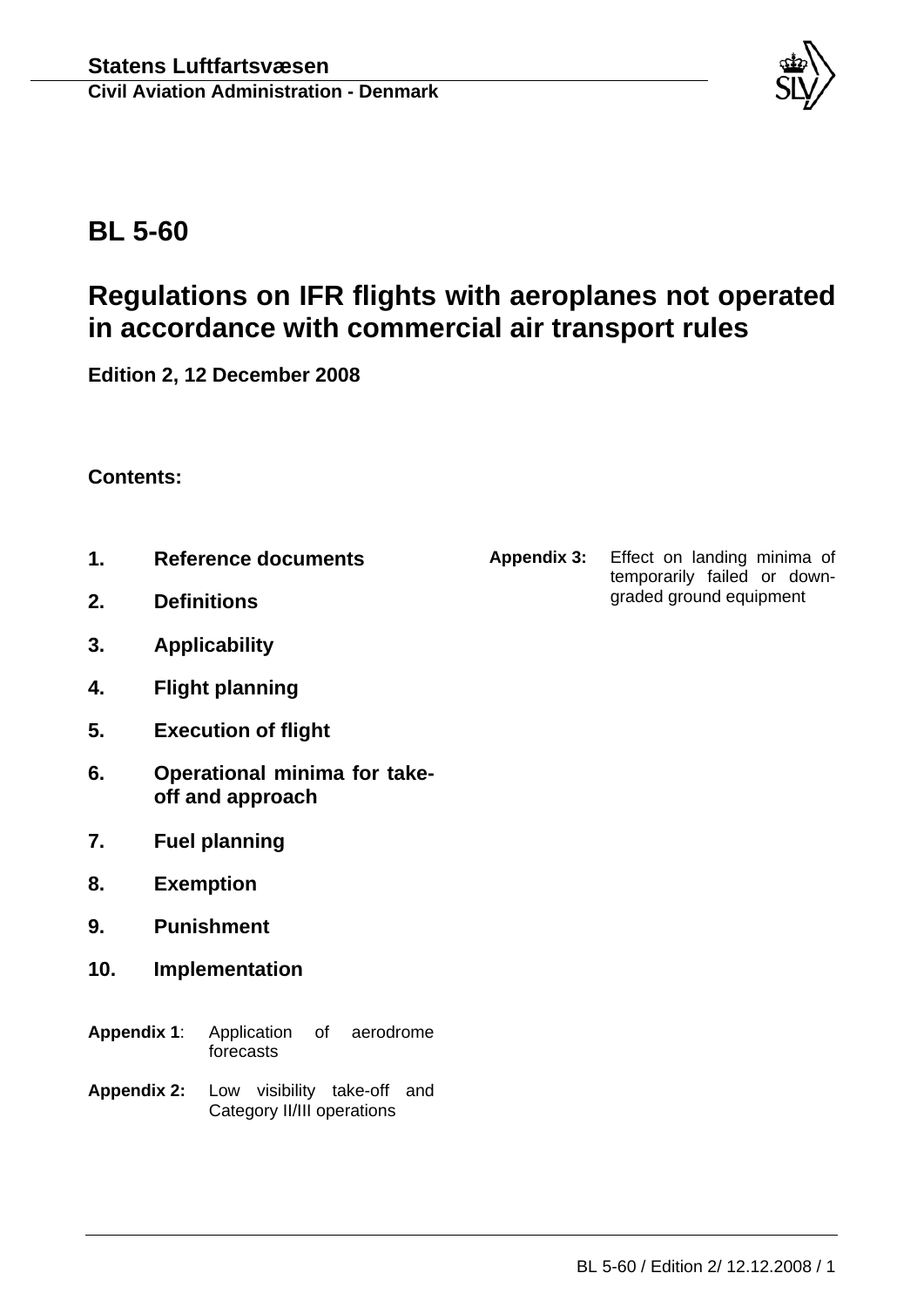

# **BL 5-60**

# **Regulations on IFR flights with aeroplanes not operated in accordance with commercial air transport rules**

**Edition 2, 12 December 2008**

# **Contents:**

- **1. Reference documents**
- **2. Definitions**
- **3. Applicability**
- **4. Flight planning**
- **5. Execution of flight**
- **6. Operational minima for takeoff and approach**
- **7. Fuel planning**
- **8. Exemption**
- **9. Punishment**
- **10. Implementation**
- **Appendix 1**: Application of aerodrome forecasts
- **Appendix 2:** Low visibility take-off and Category II/III operations

**Appendix 3:** Effect on landing minima of temporarily failed or downgraded ground equipment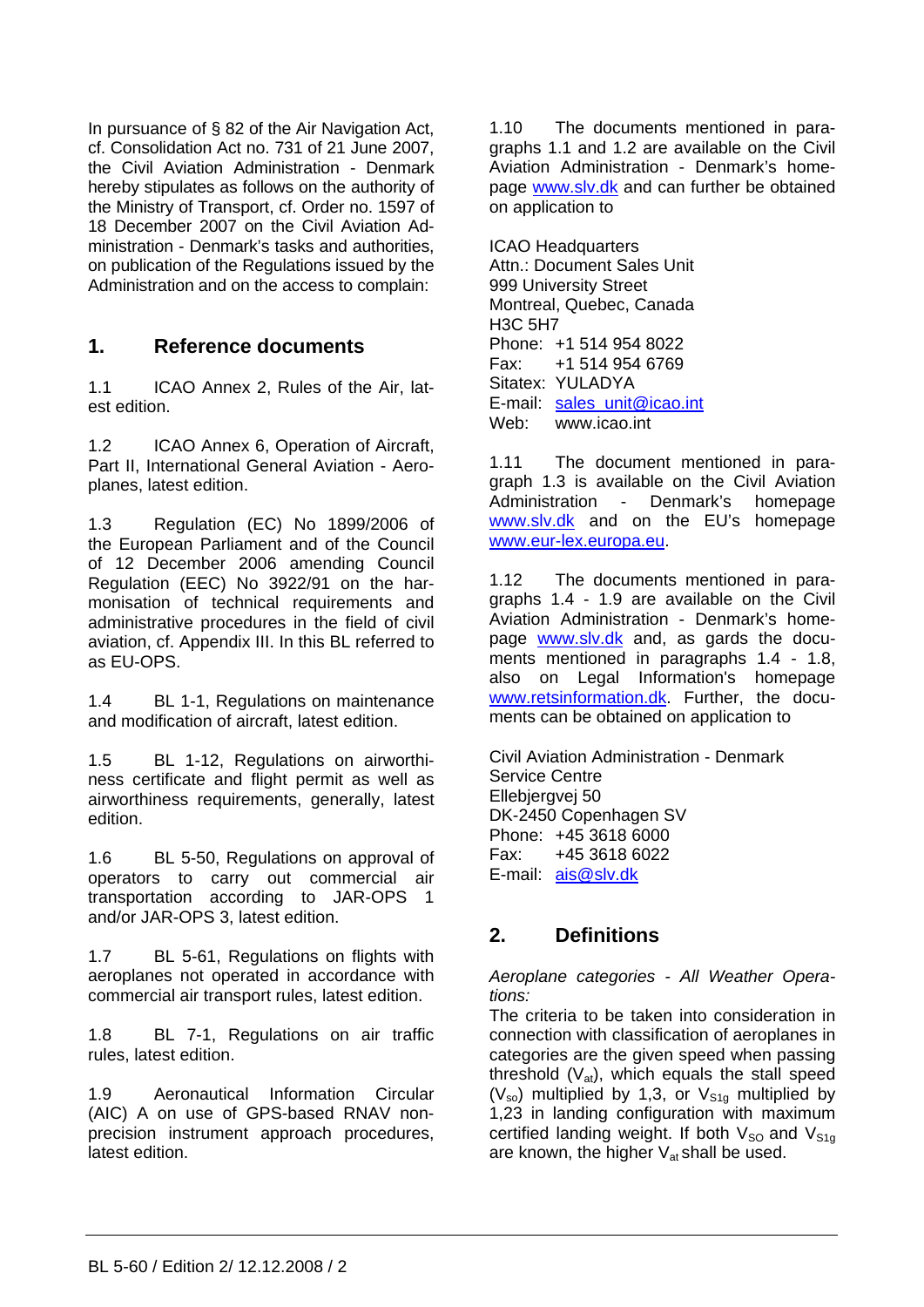In pursuance of § 82 of the Air Navigation Act, cf. Consolidation Act no. 731 of 21 June 2007, the Civil Aviation Administration - Denmark hereby stipulates as follows on the authority of the Ministry of Transport, cf. Order no. 1597 of 18 December 2007 on the Civil Aviation Administration - Denmark's tasks and authorities, on publication of the Regulations issued by the Administration and on the access to complain:

# **1. Reference documents**

1.1 ICAO Annex 2, Rules of the Air, latest edition.

1.2 ICAO Annex 6, Operation of Aircraft, Part II, International General Aviation - Aeroplanes, latest edition.

1.3 Regulation (EC) No 1899/2006 of the European Parliament and of the Council of 12 December 2006 amending Council Regulation (EEC) No 3922/91 on the harmonisation of technical requirements and administrative procedures in the field of civil aviation, cf. Appendix III. In this BL referred to as EU-OPS.

1.4 BL 1-1, Regulations on maintenance and modification of aircraft, latest edition.

1.5 BL 1-12, Regulations on airworthiness certificate and flight permit as well as airworthiness requirements, generally, latest edition.

1.6 BL 5-50, [Regulations on approval of](http://www.slv.dk/Dokumenter/dscgi/ds.py/Get/File-4788)  [operators to carry out commercial air](http://www.slv.dk/Dokumenter/dscgi/ds.py/Get/File-4788)  [transportation according to JAR-OPS 1](http://www.slv.dk/Dokumenter/dscgi/ds.py/Get/File-4788)  [and/or JAR-OPS 3,](http://www.slv.dk/Dokumenter/dscgi/ds.py/Get/File-4788) latest edition.

1.7 BL 5-61, Regulations on flights with aeroplanes not operated in accordance with commercial air transport rules, latest edition.

1.8 BL 7-1, Regulations on air traffic rules, latest edition.

1.9 [Aeronautical Information Circular](http://www.slv.dk/Dokumenter/dscgi/ds.py/Get/File-997/A_10_2001.pdf)  [\(AIC\) A on use of GPS-based RNAV non](http://www.slv.dk/Dokumenter/dscgi/ds.py/Get/File-997/A_10_2001.pdf)[precision instrument approach procedures,](http://www.slv.dk/Dokumenter/dscgi/ds.py/Get/File-997/A_10_2001.pdf) latest edition.

1.10 The documents mentioned in paragraphs 1.1 and 1.2 are available on the Civil Aviation Administration - Denmark's homepage [www.slv.dk](http://www.slv.dk/) and can further be obtained on application to

ICAO Headquarters Attn.: Document Sales Unit 999 University Street Montreal, Quebec, Canada H3C 5H7 Phone: +1 514 954 8022 Fax: +1 514 954 6769 Sitatex: YULADYA E-mail: [sales\\_unit@icao.int](mailto:sales_unit@cao.int)  Web: www.icao.int

1.11 The document mentioned in paragraph 1.3 is available on the Civil Aviation Administration - Denmark's homepage [www.slv.dk](http://www.slv.dk/) and on the EU's homepage [www.eur-lex.europa.eu](http://www.eur-lex.europa.eu/).

1.12 The documents mentioned in paragraphs 1.4 - 1.9 are available on the Civil Aviation Administration - Denmark's homepage [www.slv.dk](http://www.slv.dk/) and, as gards the documents mentioned in paragraphs 1.4 - 1.8, also on Legal Information's homepage [www.retsinformation.dk.](http://www.retsinformation.dk/) Further, the documents can be obtained on application to

Civil Aviation Administration - Denmark Service Centre Ellebjergvej 50 DK-2450 Copenhagen SV Phone: +45 3618 6000 Fax: +45 3618 6022 E-mail: [ais@slv.dk](mailto:dcaa@slv.dk)

# **2. Definitions**

*Aeroplane categories - All Weather Operations:*

The criteria to be taken into consideration in connection with classification of aeroplanes in categories are the given speed when passing threshold  $(V_{at})$ , which equals the stall speed  $(V_{so})$  multiplied by 1,3, or  $V_{S1g}$  multiplied by 1,23 in landing configuration with maximum certified landing weight. If both  $V_{SO}$  and  $V_{S1g}$ are known, the higher  $V_{at}$  shall be used.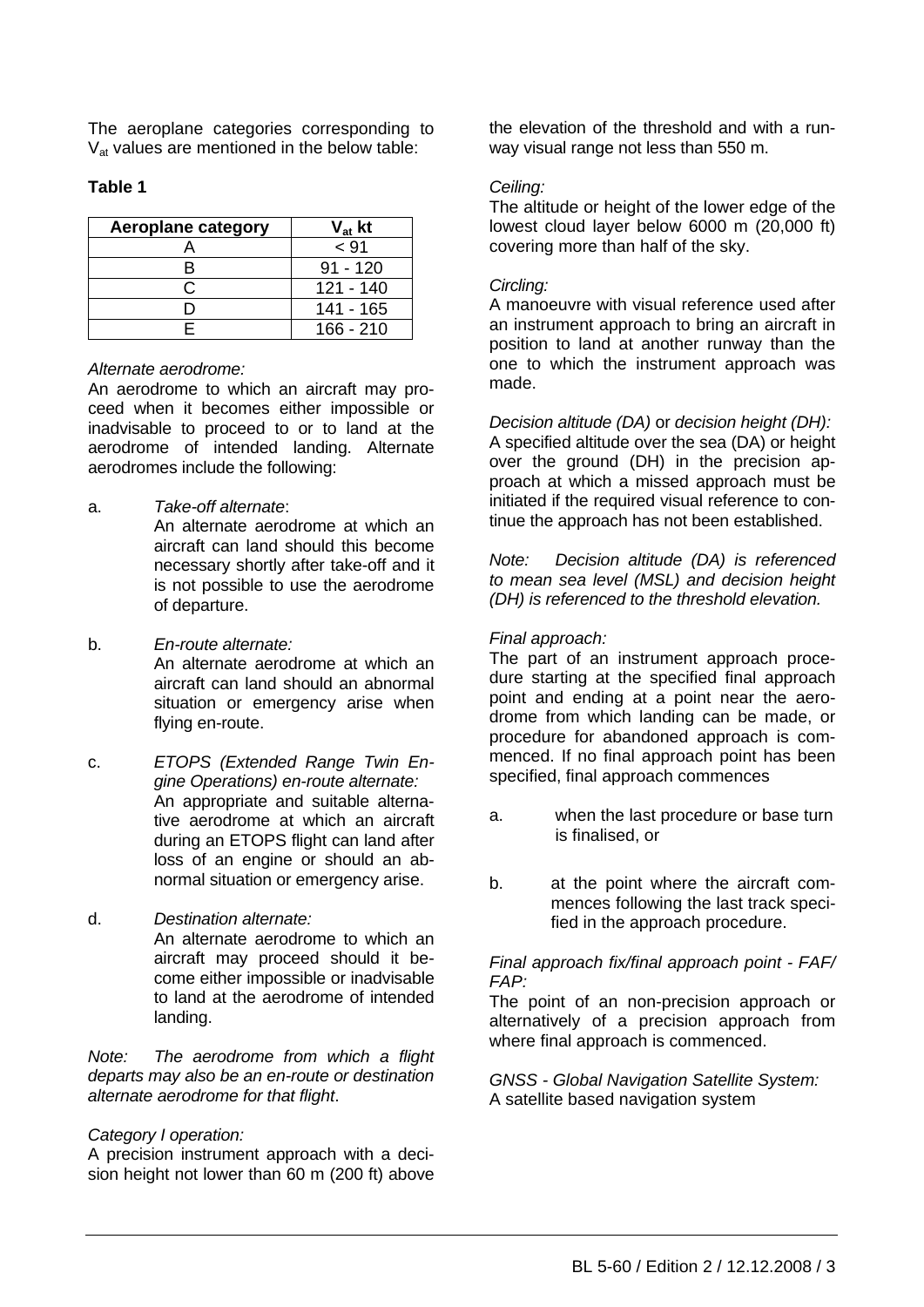The aeroplane categories corresponding to  $V<sub>at</sub>$  values are mentioned in the below table:

## **Table 1**

| Aeroplane category | $V_{at}$ kt |
|--------------------|-------------|
|                    | < 91        |
|                    | $91 - 120$  |
|                    | $121 - 140$ |
|                    | 141 - 165   |
|                    | $166 - 210$ |

## *Alternate aerodrome:*

An aerodrome to which an aircraft may proceed when it becomes either impossible or inadvisable to proceed to or to land at the aerodrome of intended landing. Alternate aerodromes include the following:

a. *Take-off alternate*:

 An alternate aerodrome at which an aircraft can land should this become necessary shortly after take-off and it is not possible to use the aerodrome of departure.

- b. *En-route alternate:* An alternate aerodrome at which an aircraft can land should an abnormal situation or emergency arise when flying en-route.
- c. *ETOPS (Extended Range Twin Engine Operations) en-route alternate:* An appropriate and suitable alternative aerodrome at which an aircraft during an ETOPS flight can land after loss of an engine or should an abnormal situation or emergency arise.
- d. *Destination alternate:* An alternate aerodrome to which an aircraft may proceed should it become either impossible or inadvisable to land at the aerodrome of intended landing.

*Note: The aerodrome from which a flight departs may also be an en-route or destination alternate aerodrome for that flight*.

## *Category I operation:*

A precision instrument approach with a decision height not lower than 60 m (200 ft) above the elevation of the threshold and with a runway visual range not less than 550 m.

## *Ceiling:*

The altitude or height of the lower edge of the lowest cloud layer below 6000 m (20,000 ft) covering more than half of the sky.

## *Circling:*

A manoeuvre with visual reference used after an instrument approach to bring an aircraft in position to land at another runway than the one to which the instrument approach was made.

*Decision altitude (DA)* or *decision height (DH):* A specified altitude over the sea (DA) or height over the ground (DH) in the precision approach at which a missed approach must be initiated if the required visual reference to continue the approach has not been established.

*Note: Decision altitude (DA) is referenced to mean sea level (MSL) and decision height (DH) is referenced to the threshold elevation.* 

# *Final approach:*

The part of an instrument approach procedure starting at the specified final approach point and ending at a point near the aerodrome from which landing can be made, or procedure for abandoned approach is commenced. If no final approach point has been specified, final approach commences

- a. when the last procedure or base turn is finalised, or
- b. at the point where the aircraft commences following the last track specified in the approach procedure.

#### *Final approach fix/final approach point - FAF/ FAP:*

The point of an non-precision approach or alternatively of a precision approach from where final approach is commenced.

*GNSS - Global Navigation Satellite System:* A satellite based navigation system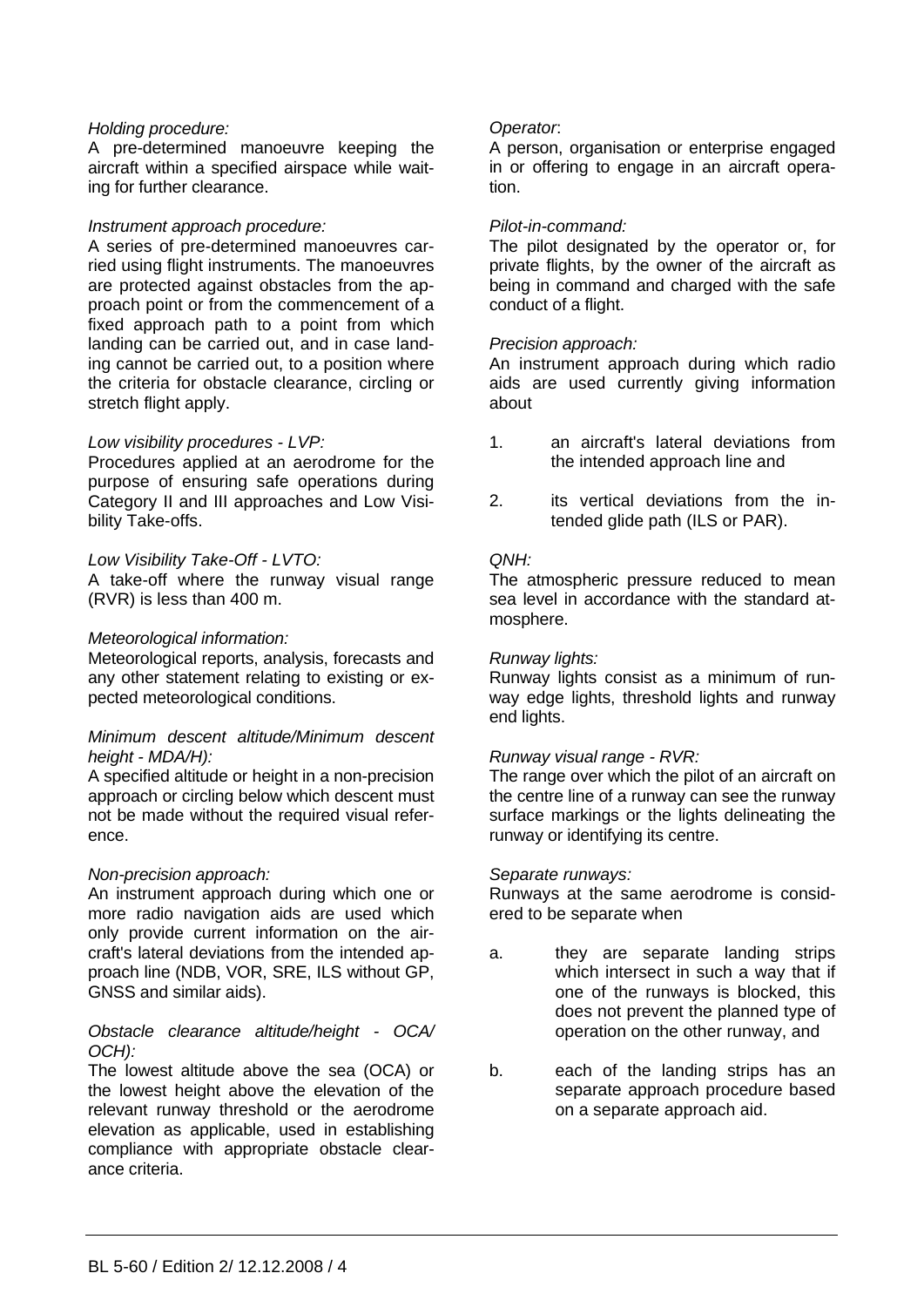## *Holding procedure:*

A pre-determined manoeuvre keeping the aircraft within a specified airspace while waiting for further clearance.

#### *Instrument approach procedure:*

A series of pre-determined manoeuvres carried using flight instruments. The manoeuvres are protected against obstacles from the approach point or from the commencement of a fixed approach path to a point from which landing can be carried out, and in case landing cannot be carried out, to a position where the criteria for obstacle clearance, circling or stretch flight apply.

#### *Low visibility procedures - LVP:*

Procedures applied at an aerodrome for the purpose of ensuring safe operations during Category II and III approaches and Low Visibility Take-offs.

#### *Low Visibility Take-Off - LVTO:*

A take-off where the runway visual range (RVR) is less than 400 m.

#### *Meteorological information:*

Meteorological reports, analysis, forecasts and any other statement relating to existing or expected meteorological conditions.

#### *Minimum descent altitude/Minimum descent height - MDA/H):*

A specified altitude or height in a non-precision approach or circling below which descent must not be made without the required visual reference.

#### *Non-precision approach:*

An instrument approach during which one or more radio navigation aids are used which only provide current information on the aircraft's lateral deviations from the intended approach line (NDB, VOR, SRE, ILS without GP, GNSS and similar aids).

#### *Obstacle clearance altitude/height - OCA/ OCH):*

The lowest altitude above the sea (OCA) or the lowest height above the elevation of the relevant runway threshold or the aerodrome elevation as applicable, used in establishing compliance with appropriate obstacle clearance criteria.

#### *Operator*:

A person, organisation or enterprise engaged in or offering to engage in an aircraft operation.

#### *Pilot-in-command:*

The pilot designated by the operator or, for private flights, by the owner of the aircraft as being in command and charged with the safe conduct of a flight.

#### *Precision approach:*

An instrument approach during which radio aids are used currently giving information about

- 1. an aircraft's lateral deviations from the intended approach line and
- 2. its vertical deviations from the intended glide path (ILS or PAR).

#### *QNH:*

The atmospheric pressure reduced to mean sea level in accordance with the standard atmosphere.

#### *Runway lights:*

Runway lights consist as a minimum of runway edge lights, threshold lights and runway end lights.

#### *Runway visual range - RVR:*

The range over which the pilot of an aircraft on the centre line of a runway can see the runway surface markings or the lights delineating the runway or identifying its centre.

#### *Separate runways:*

Runways at the same aerodrome is considered to be separate when

- a. they are separate landing strips which intersect in such a way that if one of the runways is blocked, this does not prevent the planned type of operation on the other runway, and
- b. each of the landing strips has an separate approach procedure based on a separate approach aid.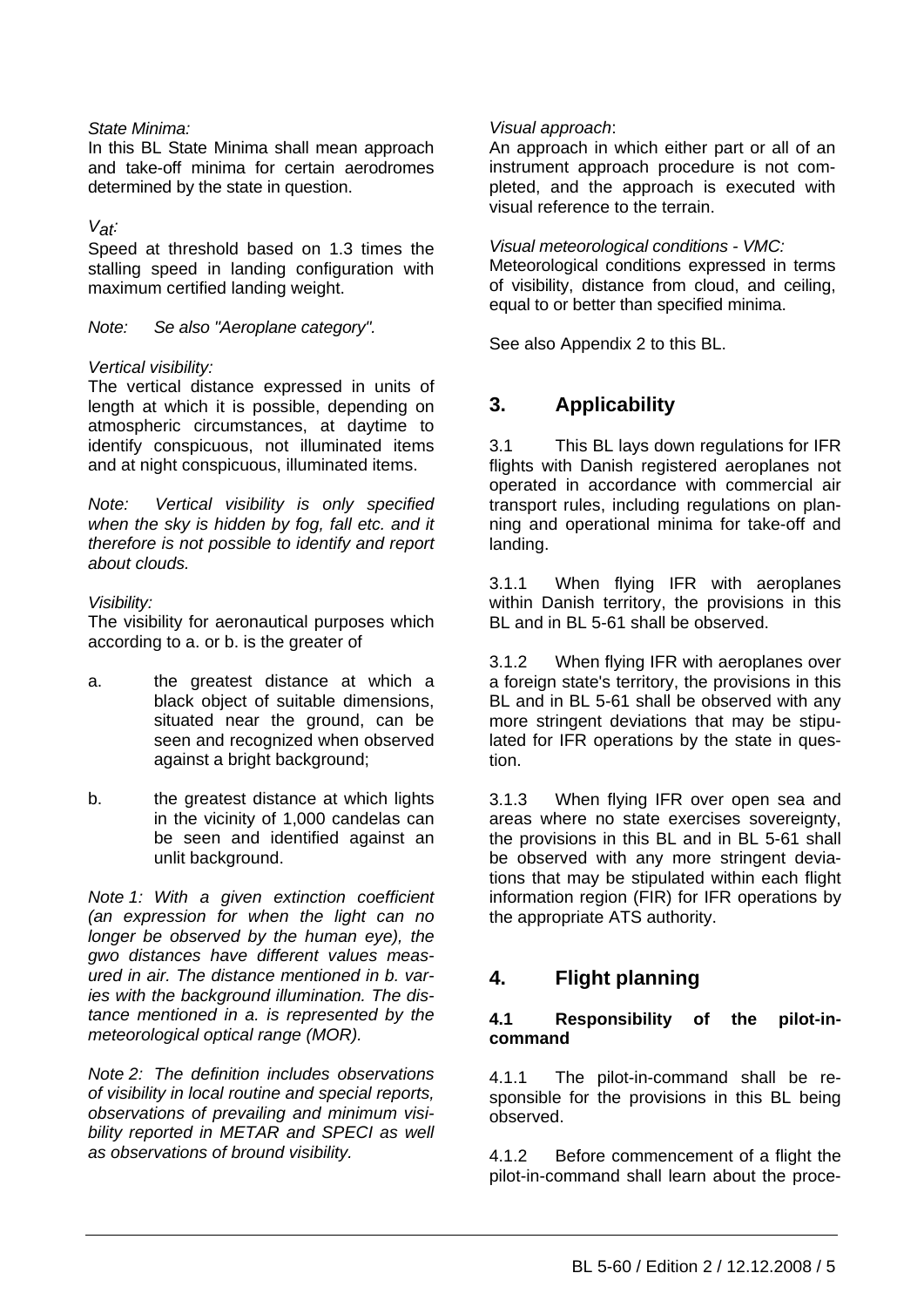## *State Minima:*

In this BL State Minima shall mean approach and take-off minima for certain aerodromes determined by the state in question.

#### *Vat:*

Speed at threshold based on 1.3 times the stalling speed in landing configuration with maximum certified landing weight.

*Note: Se also "Aeroplane category".* 

#### *Vertical visibility:*

The vertical distance expressed in units of length at which it is possible, depending on atmospheric circumstances, at daytime to identify conspicuous, not illuminated items and at night conspicuous, illuminated items.

*Note: Vertical visibility is only specified when the sky is hidden by fog, fall etc. and it therefore is not possible to identify and report about clouds.*

#### *Visibility:*

The visibility for aeronautical purposes which according to a. or b. is the greater of

- a. the greatest distance at which a black object of suitable dimensions, situated near the ground, can be seen and recognized when observed against a bright background;
- b. the greatest distance at which lights in the vicinity of 1,000 candelas can be seen and identified against an unlit background.

*Note 1: With a given extinction coefficient (an expression for when the light can no longer be observed by the human eye), the gwo distances have different values measured in air. The distance mentioned in b. varies with the background illumination. The distance mentioned in a. is represented by the meteorological optical range (MOR).* 

*Note 2: The definition includes observations of visibility in local routine and special reports, observations of prevailing and minimum visibility reported in METAR and SPECI as well as observations of bround visibility.* 

#### *Visual approach*:

An approach in which either part or all of an instrument approach procedure is not completed, and the approach is executed with visual reference to the terrain.

*Visual meteorological conditions - VMC:* 

Meteorological conditions expressed in terms of visibility, distance from cloud, and ceiling, equal to or better than specified minima.

See also Appendix 2 to this BL.

# **3. Applicability**

3.1 This BL lays down regulations for IFR flights with Danish registered aeroplanes not operated in accordance with commercial air transport rules, including regulations on planning and operational minima for take-off and landing.

3.1.1 When flying IFR with aeroplanes within Danish territory, the provisions in this BL and in BL 5-61 shall be observed.

3.1.2 When flying IFR with aeroplanes over a foreign state's territory, the provisions in this BL and in BL 5-61 shall be observed with any more stringent deviations that may be stipulated for IFR operations by the state in question.

3.1.3 When flying IFR over open sea and areas where no state exercises sovereignty, the provisions in this BL and in BL 5-61 shall be observed with any more stringent deviations that may be stipulated within each flight information region (FIR) for IFR operations by the appropriate ATS authority.

# **4. Flight planning**

#### **4.1 Responsibility of the pilot-incommand**

4.1.1 The pilot-in-command shall be responsible for the provisions in this BL being observed.

4.1.2 Before commencement of a flight the pilot-in-command shall learn about the proce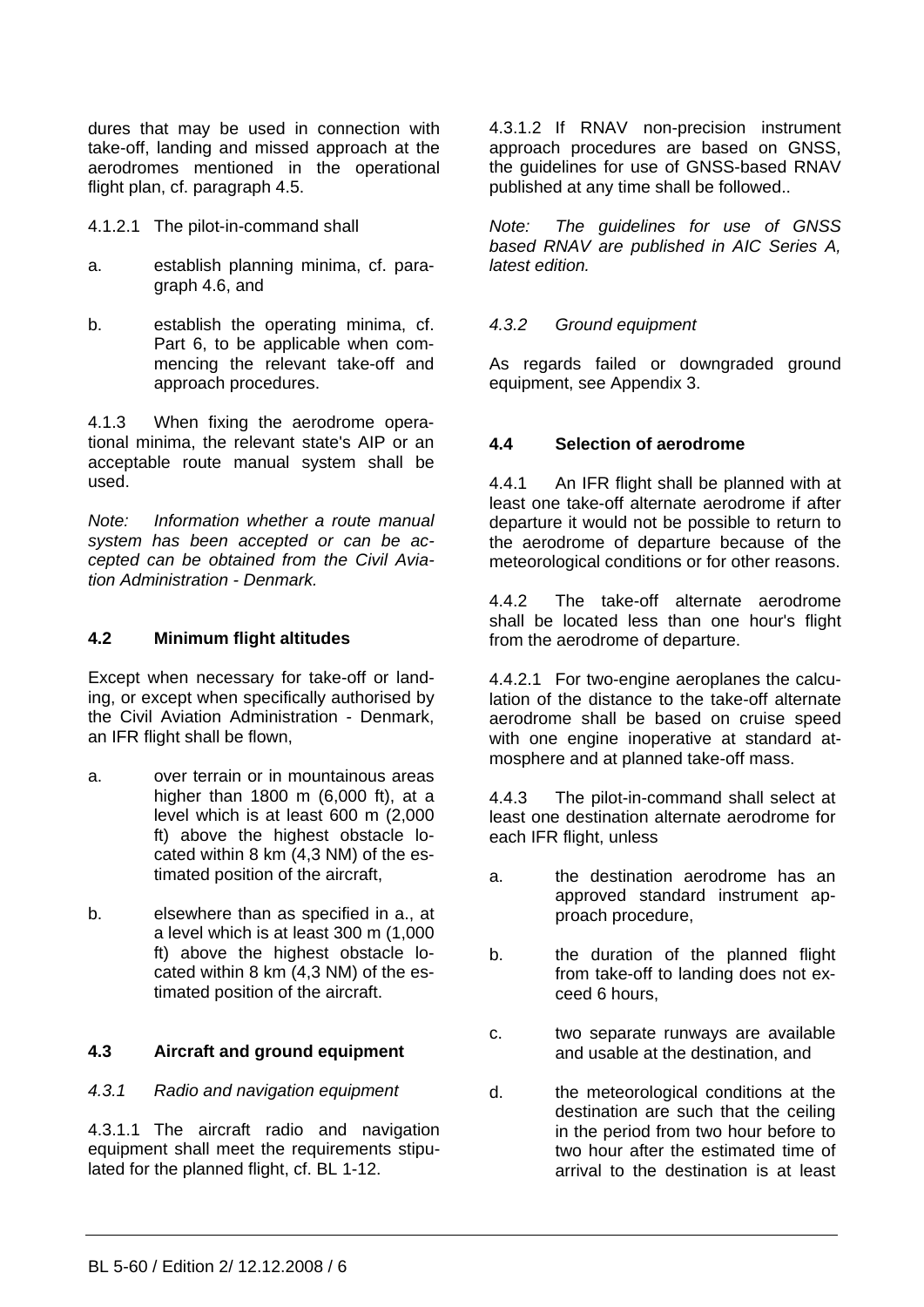dures that may be used in connection with take-off, landing and missed approach at the aerodromes mentioned in the operational flight plan, cf. paragraph 4.5.

- 4.1.2.1 The pilot-in-command shall
- a. establish planning minima, cf. paragraph 4.6, and
- b. establish the operating minima, cf. Part 6, to be applicable when commencing the relevant take-off and approach procedures.

4.1.3 When fixing the aerodrome operational minima, the relevant state's AIP or an acceptable route manual system shall be used.

*Note: Information whether a route manual system has been accepted or can be accepted can be obtained from the Civil Aviation Administration - Denmark.* 

# **4.2 Minimum flight altitudes**

Except when necessary for take-off or landing, or except when specifically authorised by the Civil Aviation Administration - Denmark, an IFR flight shall be flown,

- a. over terrain or in mountainous areas higher than 1800 m (6,000 ft), at a level which is at least 600 m (2,000 ft) above the highest obstacle located within 8 km (4,3 NM) of the estimated position of the aircraft,
- b. elsewhere than as specified in a., at a level which is at least 300 m (1,000 ft) above the highest obstacle located within 8 km (4,3 NM) of the estimated position of the aircraft.

## **4.3 Aircraft and ground equipment**

## *4.3.1 Radio and navigation equipment*

4.3.1.1 The aircraft radio and navigation equipment shall meet the requirements stipulated for the planned flight, cf. BL 1-12.

4.3.1.2 If RNAV non-precision instrument approach procedures are based on GNSS, the guidelines for use of GNSS-based RNAV published at any time shall be followed..

*Note: The guidelines for use of GNSS based RNAV are published in AIC Series A, latest edition.* 

#### *4.3.2 Ground equipment*

As regards failed or downgraded ground equipment, see Appendix 3.

## **4.4 Selection of aerodrome**

4.4.1 An IFR flight shall be planned with at least one take-off alternate aerodrome if after departure it would not be possible to return to the aerodrome of departure because of the meteorological conditions or for other reasons.

4.4.2 The take-off alternate aerodrome shall be located less than one hour's flight from the aerodrome of departure.

4.4.2.1 For two-engine aeroplanes the calculation of the distance to the take-off alternate aerodrome shall be based on cruise speed with one engine inoperative at standard atmosphere and at planned take-off mass.

4.4.3 The pilot-in-command shall select at least one destination alternate aerodrome for each IFR flight, unless

- a. the destination aerodrome has an approved standard instrument approach procedure,
- b. the duration of the planned flight from take-off to landing does not exceed 6 hours,
- c. two separate runways are available and usable at the destination, and
- d. the meteorological conditions at the destination are such that the ceiling in the period from two hour before to two hour after the estimated time of arrival to the destination is at least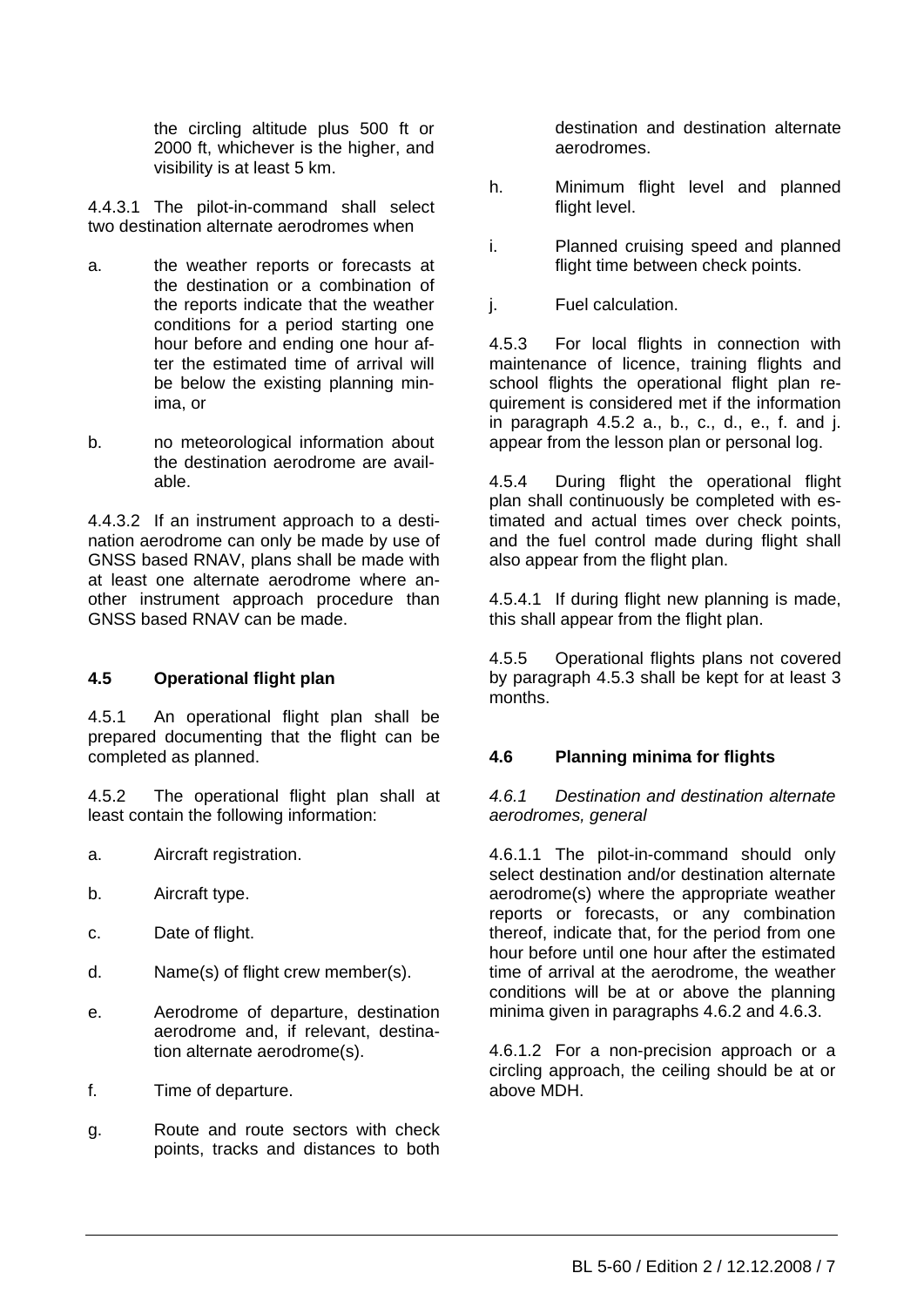the circling altitude plus 500 ft or 2000 ft, whichever is the higher, and visibility is at least 5 km.

4.4.3.1 The pilot-in-command shall select two destination alternate aerodromes when

- a. the weather reports or forecasts at the destination or a combination of the reports indicate that the weather conditions for a period starting one hour before and ending one hour after the estimated time of arrival will be below the existing planning minima, or
- b. no meteorological information about the destination aerodrome are available.

4.4.3.2 If an instrument approach to a destination aerodrome can only be made by use of GNSS based RNAV, plans shall be made with at least one alternate aerodrome where another instrument approach procedure than GNSS based RNAV can be made.

# **4.5 Operational flight plan**

4.5.1 An operational flight plan shall be prepared documenting that the flight can be completed as planned.

4.5.2 The operational flight plan shall at least contain the following information:

- a. Aircraft registration.
- b. Aircraft type.
- c. Date of flight.
- d. Name(s) of flight crew member(s).
- e. Aerodrome of departure, destination aerodrome and, if relevant, destination alternate aerodrome(s).
- f. Time of departure.
- g. Route and route sectors with check points, tracks and distances to both

destination and destination alternate aerodromes.

- h. Minimum flight level and planned flight level.
- i. Planned cruising speed and planned flight time between check points.
- j. Fuel calculation.

4.5.3 For local flights in connection with maintenance of licence, training flights and school flights the operational flight plan requirement is considered met if the information in paragraph 4.5.2 a., b., c., d., e., f. and j. appear from the lesson plan or personal log.

4.5.4 During flight the operational flight plan shall continuously be completed with estimated and actual times over check points, and the fuel control made during flight shall also appear from the flight plan.

4.5.4.1 If during flight new planning is made, this shall appear from the flight plan.

4.5.5 Operational flights plans not covered by paragraph 4.5.3 shall be kept for at least 3 months.

# **4.6 Planning minima for flights**

## *4.6.1 Destination and destination alternate aerodromes, general*

4.6.1.1 The pilot-in-command should only select destination and/or destination alternate aerodrome(s) where the appropriate weather reports or forecasts, or any combination thereof, indicate that, for the period from one hour before until one hour after the estimated time of arrival at the aerodrome, the weather conditions will be at or above the planning minima given in paragraphs 4.6.2 and 4.6.3.

4.6.1.2 For a non-precision approach or a circling approach, the ceiling should be at or above MDH.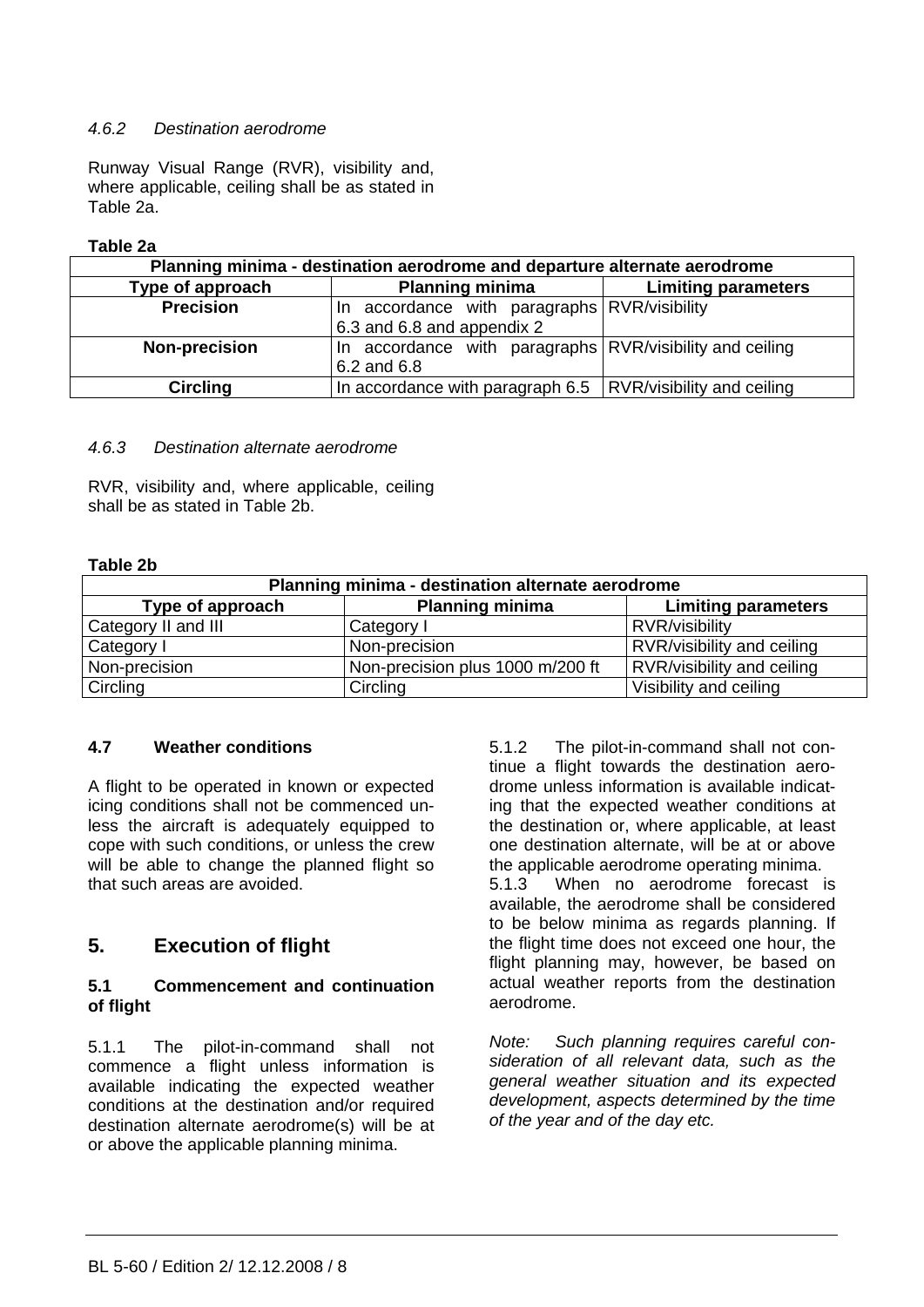## *4.6.2 Destination aerodrome*

Runway Visual Range (RVR), visibility and, where applicable, ceiling shall be as stated in Table 2a.

## **Table 2a**

| Planning minima - destination aerodrome and departure alternate aerodrome |                                                                 |                            |  |  |  |
|---------------------------------------------------------------------------|-----------------------------------------------------------------|----------------------------|--|--|--|
| Type of approach                                                          | <b>Planning minima</b>                                          | <b>Limiting parameters</b> |  |  |  |
| <b>Precision</b>                                                          | In accordance with paragraphs RVR/visibility                    |                            |  |  |  |
|                                                                           | 6.3 and 6.8 and appendix 2                                      |                            |  |  |  |
| <b>Non-precision</b>                                                      | In accordance with paragraphs RVR/visibility and ceiling        |                            |  |  |  |
|                                                                           | 6.2 and 6.8                                                     |                            |  |  |  |
| <b>Circling</b>                                                           | In accordance with paragraph $6.5$   RVR/visibility and ceiling |                            |  |  |  |

## *4.6.3 Destination alternate aerodrome*

RVR, visibility and, where applicable, ceiling shall be as stated in Table 2b.

#### **Table 2b**

| Planning minima - destination alternate aerodrome                        |                                  |                            |  |  |  |  |
|--------------------------------------------------------------------------|----------------------------------|----------------------------|--|--|--|--|
| <b>Planning minima</b><br>Type of approach<br><b>Limiting parameters</b> |                                  |                            |  |  |  |  |
| Category II and III                                                      | Category I                       | RVR/visibility             |  |  |  |  |
| Category I                                                               | Non-precision                    | RVR/visibility and ceiling |  |  |  |  |
| Non-precision                                                            | Non-precision plus 1000 m/200 ft | RVR/visibility and ceiling |  |  |  |  |
| <b>Circling</b>                                                          | Circling                         | Visibility and ceiling     |  |  |  |  |

## **4.7 Weather conditions**

A flight to be operated in known or expected icing conditions shall not be commenced unless the aircraft is adequately equipped to cope with such conditions, or unless the crew will be able to change the planned flight so that such areas are avoided.

# **5. Execution of flight**

#### **5.1 Commencement and continuation of flight**

5.1.1 The pilot-in-command shall not commence a flight unless information is available indicating the expected weather conditions at the destination and/or required destination alternate aerodrome(s) will be at or above the applicable planning minima.

5.1.2 The pilot-in-command shall not continue a flight towards the destination aerodrome unless information is available indicating that the expected weather conditions at the destination or, where applicable, at least one destination alternate, will be at or above the applicable aerodrome operating minima. 5.1.3 When no aerodrome forecast is available, the aerodrome shall be considered to be below minima as regards planning. If the flight time does not exceed one hour, the flight planning may, however, be based on actual weather reports from the destination aerodrome.

*Note: Such planning requires careful consideration of all relevant data, such as the general weather situation and its expected development, aspects determined by the time of the year and of the day etc.*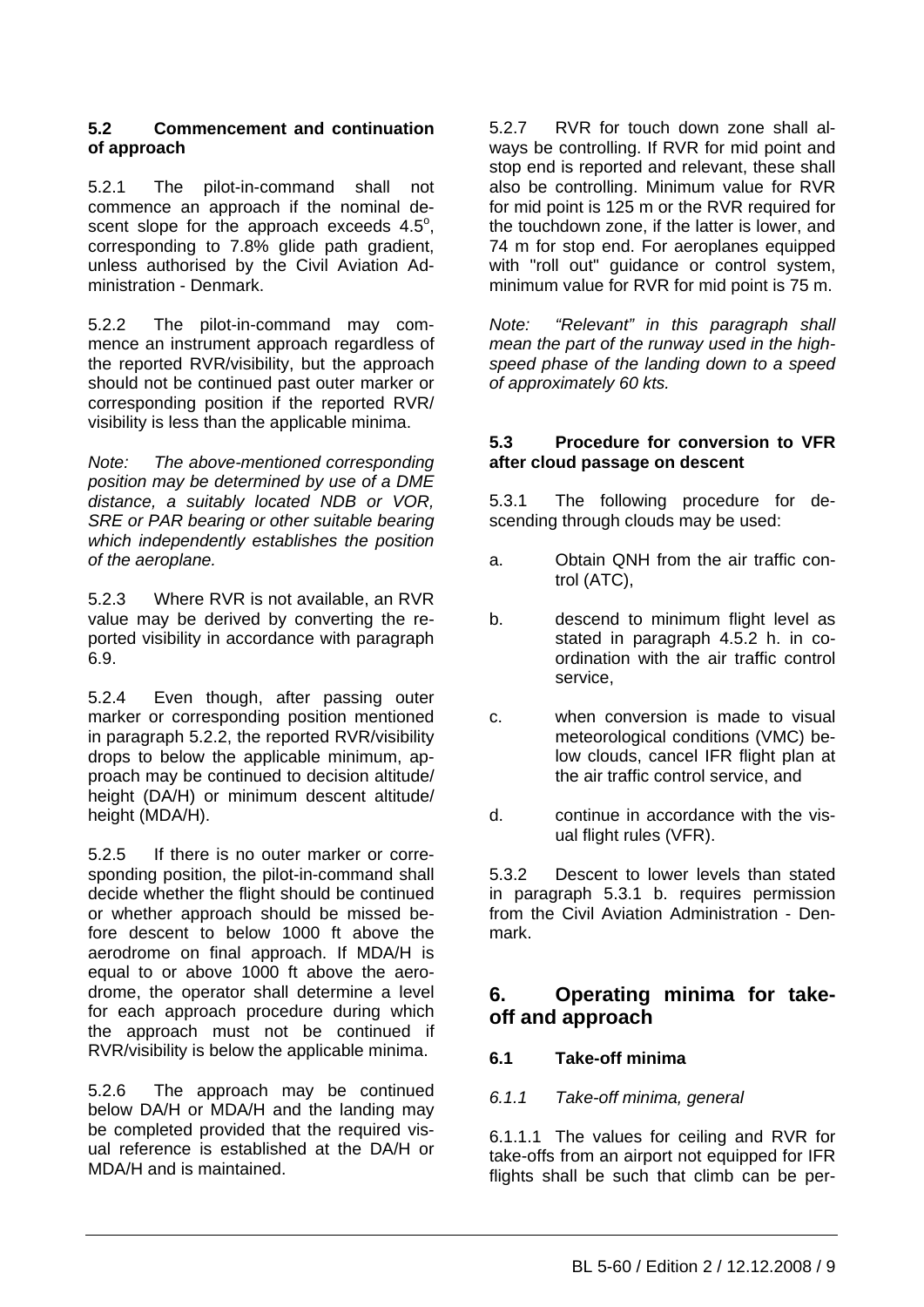## **5.2 Commencement and continuation of approach**

5.2.1 The pilot-in-command shall not commence an approach if the nominal descent slope for the approach exceeds  $4.5^\circ$ , corresponding to 7.8% glide path gradient, unless authorised by the Civil Aviation Administration - Denmark.

5.2.2 The pilot-in-command may commence an instrument approach regardless of the reported RVR/visibility, but the approach should not be continued past outer marker or corresponding position if the reported RVR/ visibility is less than the applicable minima.

*Note: The above-mentioned corresponding position may be determined by use of a DME distance, a suitably located NDB or VOR, SRE or PAR bearing or other suitable bearing which independently establishes the position of the aeroplane.* 

5.2.3 Where RVR is not available, an RVR value may be derived by converting the reported visibility in accordance with paragraph 6.9.

5.2.4 Even though, after passing outer marker or corresponding position mentioned in paragraph 5.2.2, the reported RVR/visibility drops to below the applicable minimum, approach may be continued to decision altitude/ height (DA/H) or minimum descent altitude/ height (MDA/H).

5.2.5 If there is no outer marker or corresponding position, the pilot-in-command shall decide whether the flight should be continued or whether approach should be missed before descent to below 1000 ft above the aerodrome on final approach. If MDA/H is equal to or above 1000 ft above the aerodrome, the operator shall determine a level for each approach procedure during which the approach must not be continued if RVR/visibility is below the applicable minima.

5.2.6 The approach may be continued below DA/H or MDA/H and the landing may be completed provided that the required visual reference is established at the DA/H or MDA/H and is maintained.

5.2.7 RVR for touch down zone shall always be controlling. If RVR for mid point and stop end is reported and relevant, these shall also be controlling. Minimum value for RVR for mid point is 125 m or the RVR required for the touchdown zone, if the latter is lower, and 74 m for stop end. For aeroplanes equipped with "roll out" quidance or control system, minimum value for RVR for mid point is 75 m.

*Note: "Relevant" in this paragraph shall mean the part of the runway used in the highspeed phase of the landing down to a speed of approximately 60 kts.* 

# **5.3 Procedure for conversion to VFR after cloud passage on descent**

5.3.1 The following procedure for descending through clouds may be used:

- a. Obtain QNH from the air traffic control (ATC),
- b. descend to minimum flight level as stated in paragraph 4.5.2 h. in coordination with the air traffic control service,
- c. when conversion is made to visual meteorological conditions (VMC) below clouds, cancel IFR flight plan at the air traffic control service, and
- d. continue in accordance with the visual flight rules (VFR).

5.3.2 Descent to lower levels than stated in paragraph 5.3.1 b. requires permission from the Civil Aviation Administration - Denmark.

# **6. Operating minima for takeoff and approach**

# **6.1 Take-off minima**

# *6.1.1 Take-off minima, general*

6.1.1.1 The values for ceiling and RVR for take-offs from an airport not equipped for IFR flights shall be such that climb can be per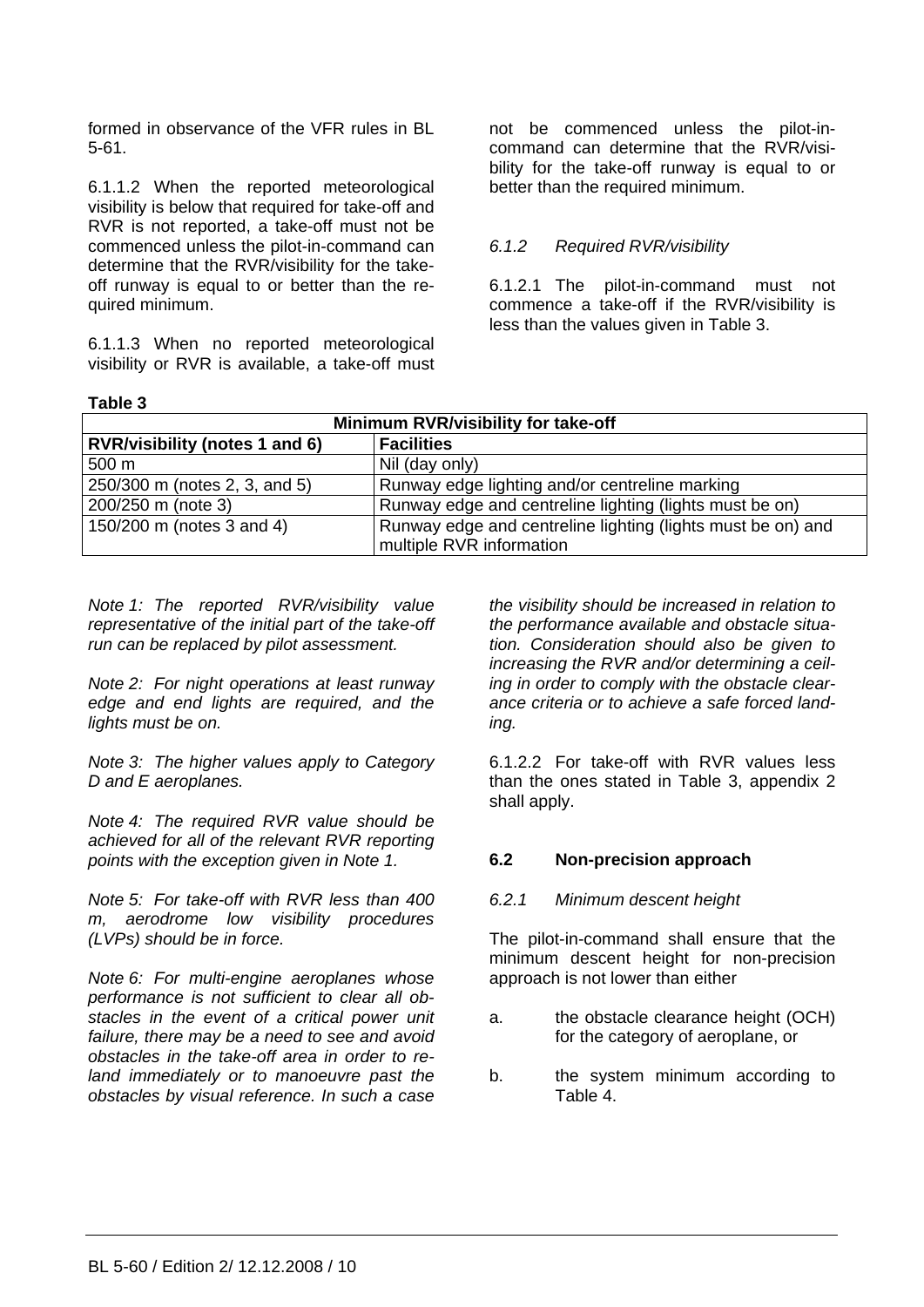formed in observance of the VFR rules in BL 5-61.

6.1.1.2 When the reported meteorological visibility is below that required for take-off and RVR is not reported, a take-off must not be commenced unless the pilot-in-command can determine that the RVR/visibility for the takeoff runway is equal to or better than the required minimum.

6.1.1.3 When no reported meteorological visibility or RVR is available, a take-off must not be commenced unless the pilot-incommand can determine that the RVR/visibility for the take-off runway is equal to or better than the required minimum.

# *6.1.2 Required RVR/visibility*

6.1.2.1 The pilot-in-command must not commence a take-off if the RVR/visibility is less than the values given in Table 3.

| able |  |
|------|--|
|      |  |

| Minimum RVR/visibility for take-off                                                      |                                                         |  |  |  |
|------------------------------------------------------------------------------------------|---------------------------------------------------------|--|--|--|
| RVR/visibility (notes 1 and 6)<br><b>Facilities</b>                                      |                                                         |  |  |  |
| 500 <sub>m</sub>                                                                         | Nil (day only)                                          |  |  |  |
| Runway edge lighting and/or centreline marking<br>250/300 m (notes 2, 3, and 5)          |                                                         |  |  |  |
| 200/250 m (note 3)                                                                       | Runway edge and centreline lighting (lights must be on) |  |  |  |
| 150/200 m (notes 3 and 4)<br>Runway edge and centreline lighting (lights must be on) and |                                                         |  |  |  |
| multiple RVR information                                                                 |                                                         |  |  |  |

*Note 1: The reported RVR/visibility value representative of the initial part of the take-off run can be replaced by pilot assessment.* 

*Note 2: For night operations at least runway edge and end lights are required, and the lights must be on.* 

*Note 3: The higher values apply to Category D and E aeroplanes.*

*Note 4: The required RVR value should be achieved for all of the relevant RVR reporting points with the exception given in Note 1.* 

*Note 5: For take-off with RVR less than 400 m, aerodrome low visibility procedures (LVPs) should be in force.* 

*Note 6: For multi-engine aeroplanes whose performance is not sufficient to clear all obstacles in the event of a critical power unit failure, there may be a need to see and avoid obstacles in the take-off area in order to reland immediately or to manoeuvre past the obstacles by visual reference. In such a case* 

*the visibility should be increased in relation to the performance available and obstacle situation. Consideration should also be given to increasing the RVR and/or determining a ceiling in order to comply with the obstacle clearance criteria or to achieve a safe forced landing.* 

6.1.2.2 For take-off with RVR values less than the ones stated in Table 3, appendix 2 shall apply.

## **6.2 Non-precision approach**

## *6.2.1 Minimum descent height*

The pilot-in-command shall ensure that the minimum descent height for non-precision approach is not lower than either

- a. the obstacle clearance height (OCH) for the category of aeroplane, or
- b. the system minimum according to Table 4.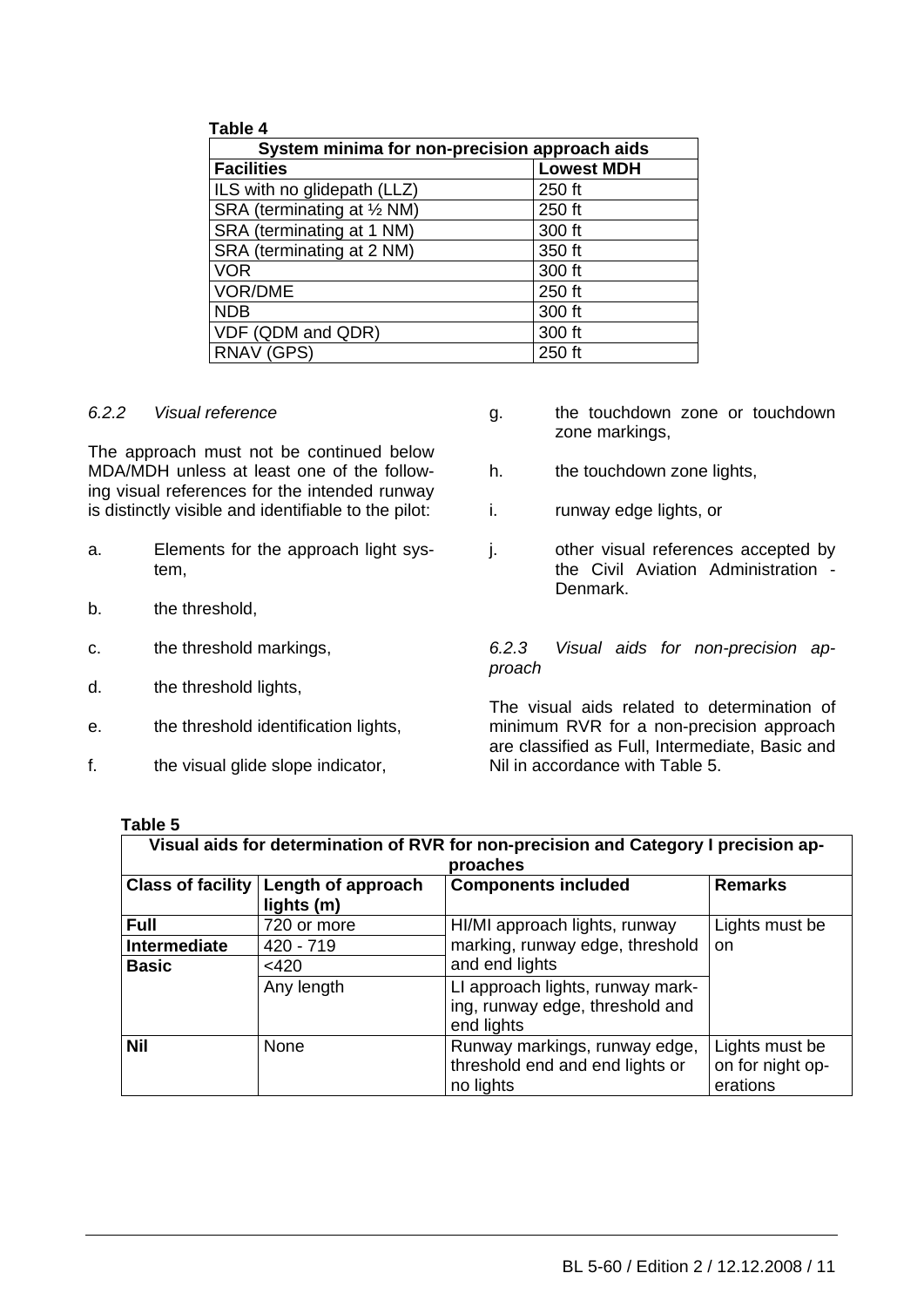| Table 4                                       |                   |
|-----------------------------------------------|-------------------|
| System minima for non-precision approach aids |                   |
| <b>Facilities</b>                             | <b>Lowest MDH</b> |
| ILS with no glidepath (LLZ)                   | 250 ft            |
| SRA (terminating at 1/2 NM)                   | 250 ft            |
| SRA (terminating at 1 NM)                     | 300 ft            |
| SRA (terminating at 2 NM)                     | 350 ft            |
| <b>VOR</b>                                    | 300 ft            |
| VOR/DME                                       | 250 ft            |
| <b>NDB</b>                                    | 300 ft            |
| VDF (QDM and QDR)                             | 300 ft            |
| RNAV (GPS)                                    | 250 ft            |

#### *6.2.2 Visual reference*

The approach must not be continued below MDA/MDH unless at least one of the following visual references for the intended runway is distinctly visible and identifiable to the pilot:

- a. Elements for the approach light system,
- b. the threshold,
- c. the threshold markings,
- d. the threshold lights,
- e. the threshold identification lights,
- f. the visual glide slope indicator,
- g. the touchdown zone or touchdown zone markings,
- h. the touchdown zone lights,
- i. runway edge lights, or
- j. other visual references accepted by the Civil Aviation Administration - Denmark.

*6.2.3 Visual aids for non-precision approach* 

The visual aids related to determination of minimum RVR for a non-precision approach are classified as Full, Intermediate, Basic and Nil in accordance with Table 5.

| ט שטוי                                         |                                                                                                |                                 |                  |  |  |
|------------------------------------------------|------------------------------------------------------------------------------------------------|---------------------------------|------------------|--|--|
|                                                | Visual aids for determination of RVR for non-precision and Category I precision ap-            |                                 |                  |  |  |
|                                                |                                                                                                | proaches                        |                  |  |  |
|                                                | <b>Class of facility</b><br>Length of approach<br><b>Components included</b><br><b>Remarks</b> |                                 |                  |  |  |
|                                                | lights (m)                                                                                     |                                 |                  |  |  |
| <b>Full</b>                                    | 720 or more                                                                                    | HI/MI approach lights, runway   | Lights must be   |  |  |
| Intermediate                                   | 420 - 719                                                                                      | marking, runway edge, threshold | on               |  |  |
| <b>Basic</b>                                   | $<$ 420                                                                                        | and end lights                  |                  |  |  |
| LI approach lights, runway mark-<br>Any length |                                                                                                |                                 |                  |  |  |
|                                                |                                                                                                | ing, runway edge, threshold and |                  |  |  |
|                                                |                                                                                                | end lights                      |                  |  |  |
| <b>Nil</b>                                     | None                                                                                           | Runway markings, runway edge,   | Lights must be   |  |  |
|                                                |                                                                                                | threshold end and end lights or | on for night op- |  |  |
|                                                |                                                                                                | no lights                       | erations         |  |  |

#### **Table 5**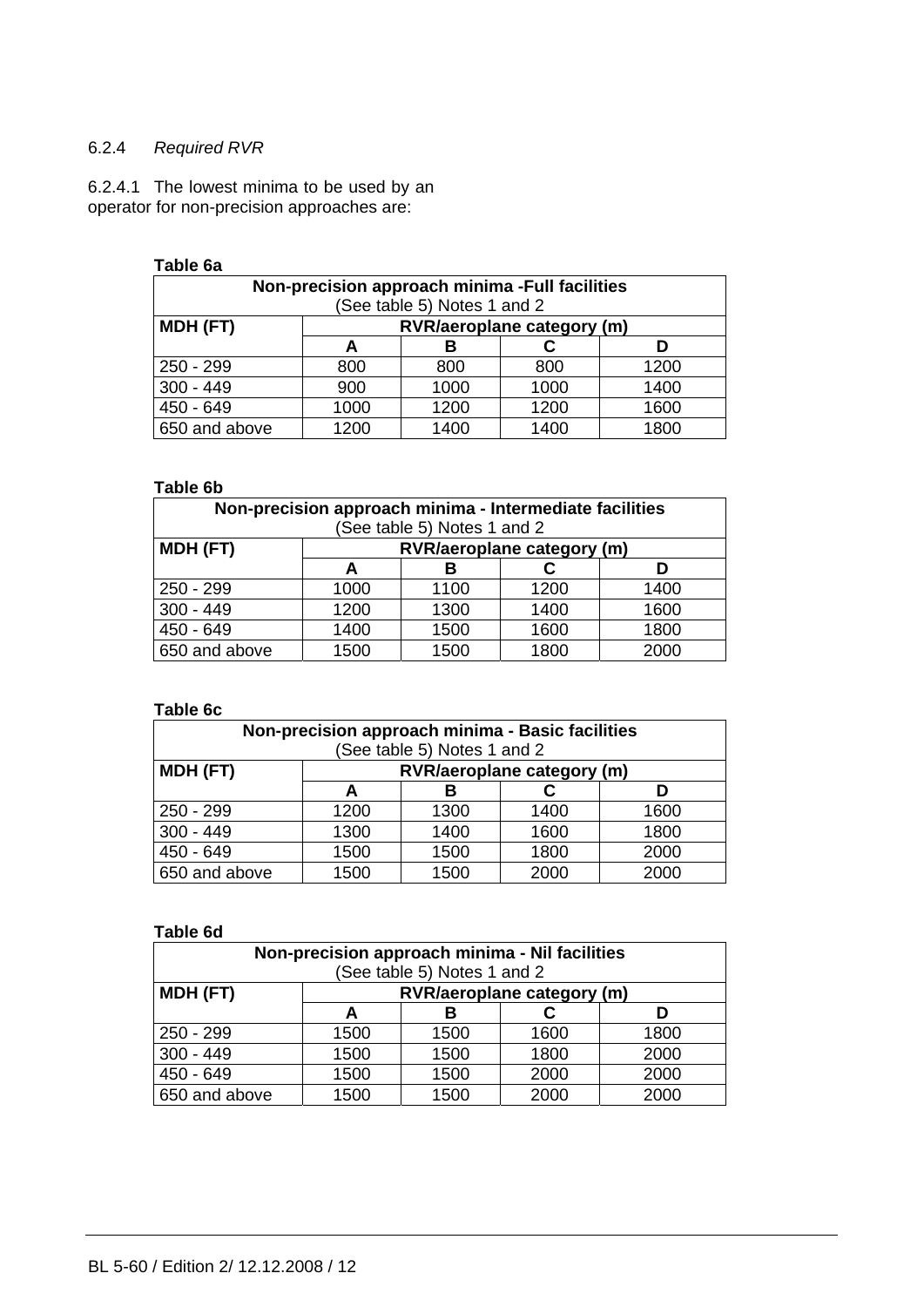# 6.2.4 *Required RVR*

6.2.4.1 The lowest minima to be used by an operator for non-precision approaches are:

#### **Table 6a**

| Non-precision approach minima -Full facilities<br>(See table 5) Notes 1 and 2 |                            |      |      |      |  |  |
|-------------------------------------------------------------------------------|----------------------------|------|------|------|--|--|
| MDH (FT)                                                                      | RVR/aeroplane category (m) |      |      |      |  |  |
|                                                                               | A                          |      |      |      |  |  |
| 250 - 299                                                                     | 800                        | 800  | 800  | 1200 |  |  |
| $300 - 449$                                                                   | 900                        | 1000 | 1000 | 1400 |  |  |
| 450 - 649                                                                     | 1000                       | 1200 | 1200 | 1600 |  |  |
| 650 and above                                                                 | 1200                       | 1400 | 1400 | 1800 |  |  |

## **Table 6b**

| Non-precision approach minima - Intermediate facilities<br>(See table 5) Notes 1 and 2 |      |      |                            |      |  |  |
|----------------------------------------------------------------------------------------|------|------|----------------------------|------|--|--|
| MDH (FT)                                                                               |      |      | RVR/aeroplane category (m) |      |  |  |
|                                                                                        | A    |      |                            |      |  |  |
| $250 - 299$                                                                            | 1000 | 1100 | 1200                       | 1400 |  |  |
| $300 - 449$                                                                            | 1200 | 1300 | 1400                       | 1600 |  |  |
| $450 - 649$                                                                            | 1400 | 1500 | 1600                       | 1800 |  |  |
| 650 and above                                                                          | 1500 | 1500 | 1800                       | 2000 |  |  |

# **Table 6c**

| Non-precision approach minima - Basic facilities |                                   |                             |      |      |  |  |
|--------------------------------------------------|-----------------------------------|-----------------------------|------|------|--|--|
|                                                  |                                   | (See table 5) Notes 1 and 2 |      |      |  |  |
| MDH (FT)                                         | <b>RVR/aeroplane category (m)</b> |                             |      |      |  |  |
|                                                  | в<br>D<br>А                       |                             |      |      |  |  |
| $250 - 299$                                      | 1200                              | 1300                        | 1400 | 1600 |  |  |
| $300 - 449$                                      | 1300                              | 1400                        | 1600 | 1800 |  |  |
| 450 - 649                                        | 1500                              | 1500                        | 1800 | 2000 |  |  |
| 650 and above                                    | 1500                              | 1500                        | 2000 | 2000 |  |  |

# **Table 6d**

| Non-precision approach minima - Nil facilities |        |                             |                            |      |  |
|------------------------------------------------|--------|-----------------------------|----------------------------|------|--|
|                                                |        | (See table 5) Notes 1 and 2 |                            |      |  |
| MDH (FT)                                       |        |                             | RVR/aeroplane category (m) |      |  |
|                                                | В<br>A |                             |                            |      |  |
| $250 - 299$                                    | 1500   | 1500                        | 1600                       | 1800 |  |
| $300 - 449$                                    | 1500   | 1500                        | 1800                       | 2000 |  |
| 450 - 649                                      | 1500   | 1500                        | 2000                       | 2000 |  |
| 650 and above                                  | 1500   | 1500                        | 2000                       | 2000 |  |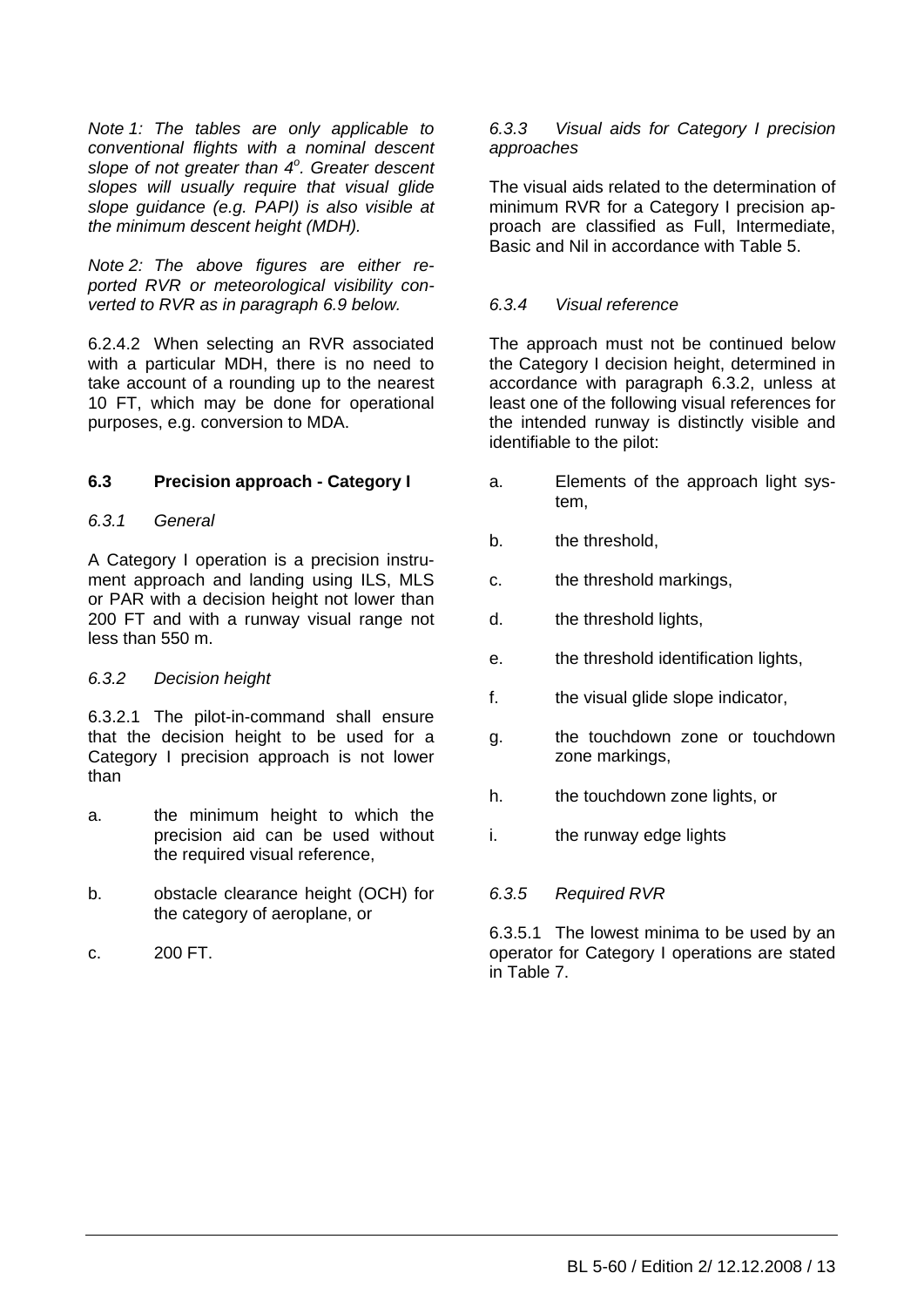*Note 1: The tables are only applicable to conventional flights with a nominal descent slope of not greater than 4<sup>o</sup> . Greater descent slopes will usually require that visual glide slope guidance (e.g. PAPI) is also visible at the minimum descent height (MDH).* 

*Note 2: The above figures are either reported RVR or meteorological visibility converted to RVR as in paragraph 6.9 below.* 

6.2.4.2 When selecting an RVR associated with a particular MDH, there is no need to take account of a rounding up to the nearest 10 FT, which may be done for operational purposes, e.g. conversion to MDA.

# **6.3 Precision approach - Category I**

## *6.3.1 General*

A Category I operation is a precision instrument approach and landing using ILS, MLS or PAR with a decision height not lower than 200 FT and with a runway visual range not less than 550 m.

## *6.3.2 Decision height*

6.3.2.1 The pilot-in-command shall ensure that the decision height to be used for a Category I precision approach is not lower than

- a. the minimum height to which the precision aid can be used without the required visual reference,
- b. obstacle clearance height (OCH) for the category of aeroplane, or
- c. 200 FT.

## *6.3.3 Visual aids for Category I precision approaches*

The visual aids related to the determination of minimum RVR for a Category I precision approach are classified as Full, Intermediate, Basic and Nil in accordance with Table 5.

# *6.3.4 Visual reference*

The approach must not be continued below the Category I decision height, determined in accordance with paragraph 6.3.2, unless at least one of the following visual references for the intended runway is distinctly visible and identifiable to the pilot:

- a. Elements of the approach light system,
- b. the threshold,
- c. the threshold markings,
- d. the threshold lights,
- e. the threshold identification lights,
- f. the visual glide slope indicator,
- g. the touchdown zone or touchdown zone markings,
- h. the touchdown zone lights, or
- i. the runway edge lights

## *6.3.5 Required RVR*

6.3.5.1 The lowest minima to be used by an operator for Category I operations are stated in Table 7.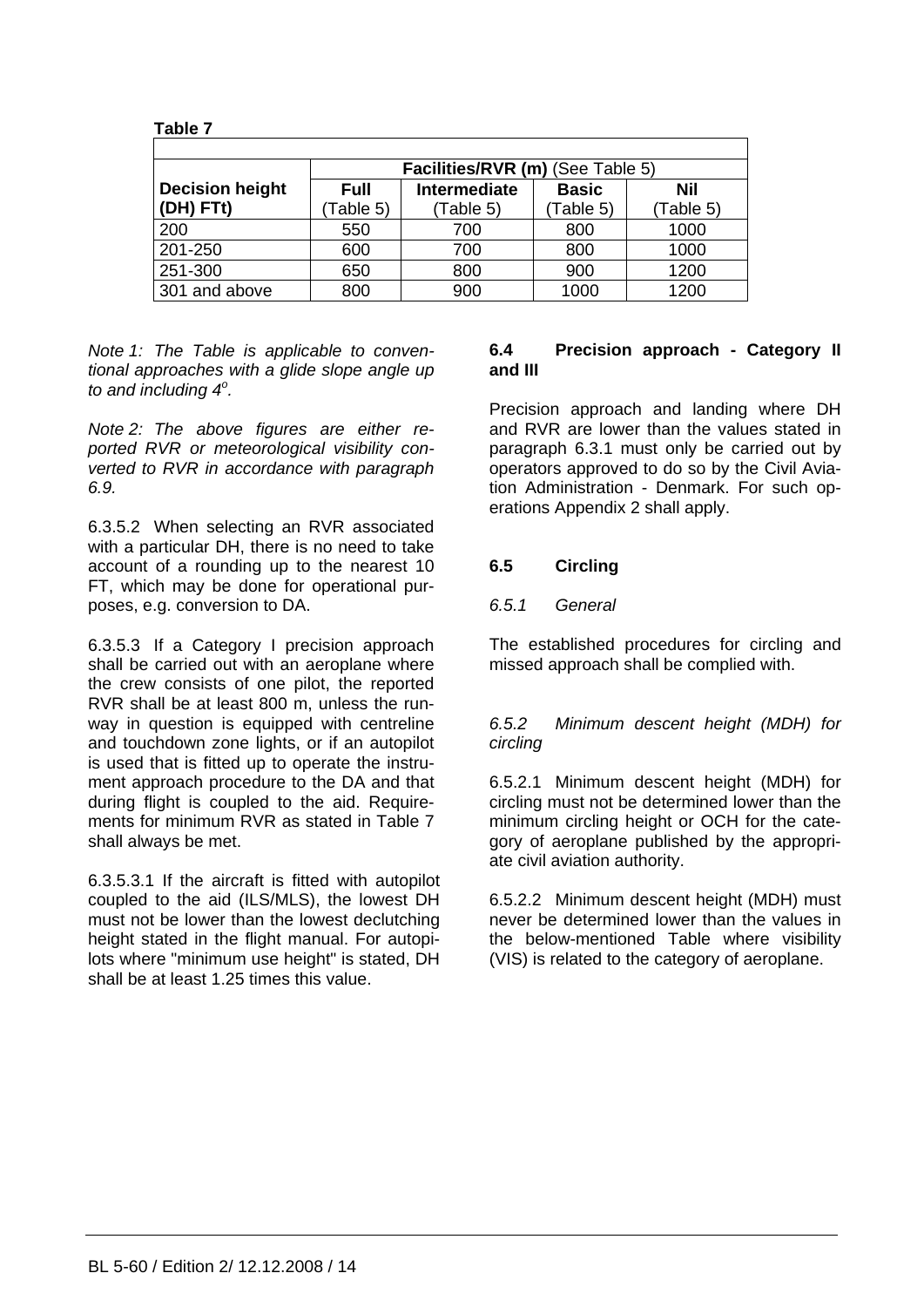| Tapie <i>T</i>         |             |                                  |              |           |
|------------------------|-------------|----------------------------------|--------------|-----------|
|                        |             |                                  |              |           |
|                        |             | Facilities/RVR (m) (See Table 5) |              |           |
| <b>Decision height</b> | <b>Full</b> | Intermediate                     | <b>Basic</b> | Nil       |
| (DH) FTt)              | Table 5)    | (Table 5)                        | Table 5)     | (Table 5) |
| 200                    | 550         | 700                              | 800          | 1000      |
| 201-250                | 600         | 700                              | 800          | 1000      |
| 251-300                | 650         | 800                              | 900          | 1200      |
| 301 and above          | 800         | 900                              | 1000         | 1200      |

 **Table 7** 

*Note 1: The Table is applicable to conventional approaches with a glide slope angle up to and including 4<sup>o</sup> .* 

*Note 2: The above figures are either reported RVR or meteorological visibility converted to RVR in accordance with paragraph 6.9.* 

6.3.5.2 When selecting an RVR associated with a particular DH, there is no need to take account of a rounding up to the nearest 10 FT, which may be done for operational purposes, e.g. conversion to DA.

6.3.5.3 If a Category I precision approach shall be carried out with an aeroplane where the crew consists of one pilot, the reported RVR shall be at least 800 m, unless the runway in question is equipped with centreline and touchdown zone lights, or if an autopilot is used that is fitted up to operate the instrument approach procedure to the DA and that during flight is coupled to the aid. Requirements for minimum RVR as stated in Table 7 shall always be met.

6.3.5.3.1 If the aircraft is fitted with autopilot coupled to the aid (ILS/MLS), the lowest DH must not be lower than the lowest declutching height stated in the flight manual. For autopilots where "minimum use height" is stated, DH shall be at least 1.25 times this value.

#### **6.4 Precision approach - Category II and III**

Precision approach and landing where DH and RVR are lower than the values stated in paragraph 6.3.1 must only be carried out by operators approved to do so by the Civil Aviation Administration - Denmark. For such operations Appendix 2 shall apply.

# **6.5 Circling**

# *6.5.1 General*

The established procedures for circling and missed approach shall be complied with.

## *6.5.2 Minimum descent height (MDH) for circling*

6.5.2.1 Minimum descent height (MDH) for circling must not be determined lower than the minimum circling height or OCH for the category of aeroplane published by the appropriate civil aviation authority.

6.5.2.2 Minimum descent height (MDH) must never be determined lower than the values in the below-mentioned Table where visibility (VIS) is related to the category of aeroplane.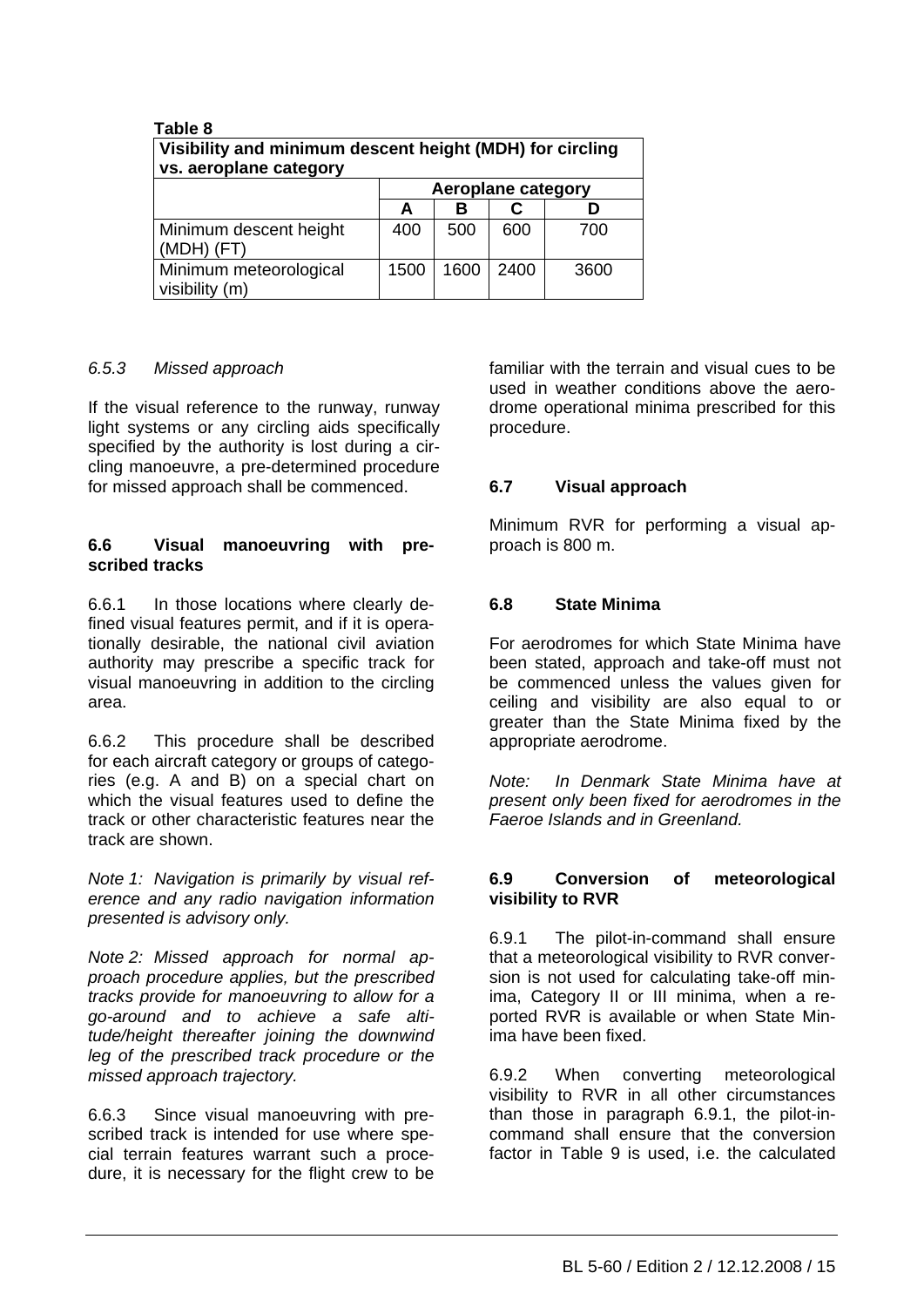| Table 8<br>Visibility and minimum descent height (MDH) for circling<br>vs. aeroplane category |      |      |                    |      |
|-----------------------------------------------------------------------------------------------|------|------|--------------------|------|
|                                                                                               |      |      | Aeroplane category |      |
|                                                                                               | A    | в    |                    |      |
| Minimum descent height<br>(MDH) (FT)                                                          | 400  | 500  | 600                | 700  |
| Minimum meteorological<br>visibility (m)                                                      | 1500 | 1600 | 2400               | 3600 |

## *6.5.3 Missed approach*

If the visual reference to the runway, runway light systems or any circling aids specifically specified by the authority is lost during a circling manoeuvre, a pre-determined procedure for missed approach shall be commenced.

#### **6.6 Visual manoeuvring with prescribed tracks**

6.6.1 In those locations where clearly defined visual features permit, and if it is operationally desirable, the national civil aviation authority may prescribe a specific track for visual manoeuvring in addition to the circling area.

6.6.2 This procedure shall be described for each aircraft category or groups of categories (e.g. A and B) on a special chart on which the visual features used to define the track or other characteristic features near the track are shown.

*Note 1: Navigation is primarily by visual reference and any radio navigation information presented is advisory only.* 

*Note 2: Missed approach for normal approach procedure applies, but the prescribed tracks provide for manoeuvring to allow for a go-around and to achieve a safe altitude/height thereafter joining the downwind leg of the prescribed track procedure or the missed approach trajectory.*

6.6.3 Since visual manoeuvring with prescribed track is intended for use where special terrain features warrant such a procedure, it is necessary for the flight crew to be familiar with the terrain and visual cues to be used in weather conditions above the aerodrome operational minima prescribed for this procedure.

#### **6.7 Visual approach**

Minimum RVR for performing a visual approach is 800 m.

#### **6.8 State Minima**

For aerodromes for which State Minima have been stated, approach and take-off must not be commenced unless the values given for ceiling and visibility are also equal to or greater than the State Minima fixed by the appropriate aerodrome.

*Note: In Denmark State Minima have at present only been fixed for aerodromes in the Faeroe Islands and in Greenland.*

#### **6.9 Conversion of meteorological visibility to RVR**

6.9.1 The pilot-in-command shall ensure that a meteorological visibility to RVR conversion is not used for calculating take-off minima, Category II or III minima, when a reported RVR is available or when State Minima have been fixed.

6.9.2 When converting meteorological visibility to RVR in all other circumstances than those in paragraph 6.9.1, the pilot-incommand shall ensure that the conversion factor in Table 9 is used, i.e. the calculated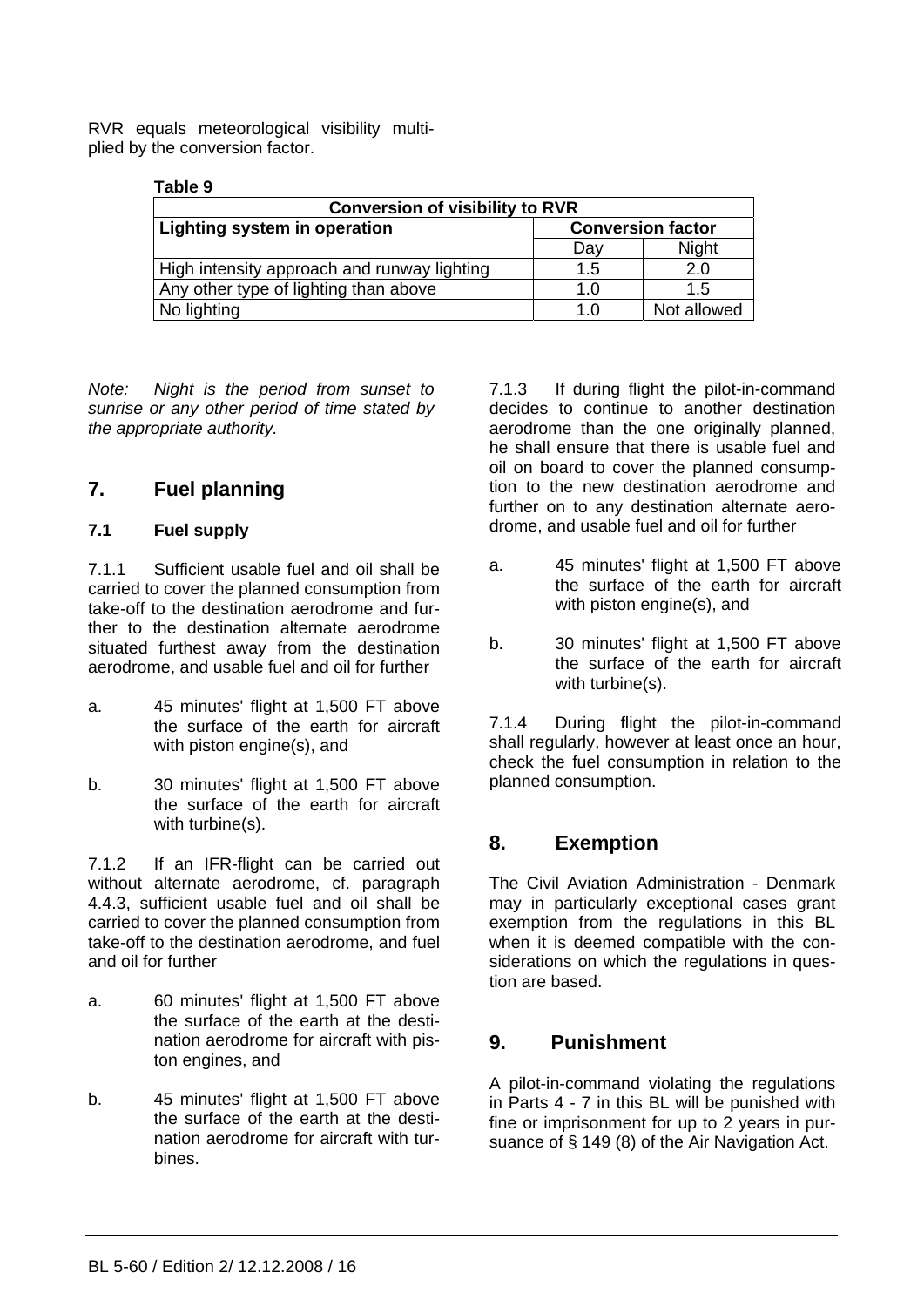RVR equals meteorological visibility multiplied by the conversion factor.

# **Table 9**

| <b>Conversion of visibility to RVR</b>      |                          |              |  |  |
|---------------------------------------------|--------------------------|--------------|--|--|
| Lighting system in operation                | <b>Conversion factor</b> |              |  |  |
|                                             | Dav                      | <b>Night</b> |  |  |
| High intensity approach and runway lighting | 1.5                      | 2.0          |  |  |
| Any other type of lighting than above       | 1.0                      | 1.5          |  |  |
| No lighting                                 | 1.0                      | Not allowed  |  |  |

*Note: Night is the period from sunset to sunrise or any other period of time stated by the appropriate authority.*

# **7. Fuel planning**

# **7.1 Fuel supply**

7.1.1 Sufficient usable fuel and oil shall be carried to cover the planned consumption from take-off to the destination aerodrome and further to the destination alternate aerodrome situated furthest away from the destination aerodrome, and usable fuel and oil for further

- a. 45 minutes' flight at 1,500 FT above the surface of the earth for aircraft with piston engine(s), and
- b. 30 minutes' flight at 1,500 FT above the surface of the earth for aircraft with turbine(s).

7.1.2 If an IFR-flight can be carried out without alternate aerodrome, cf. paragraph 4.4.3, sufficient usable fuel and oil shall be carried to cover the planned consumption from take-off to the destination aerodrome, and fuel and oil for further

- a. 60 minutes' flight at 1,500 FT above the surface of the earth at the destination aerodrome for aircraft with piston engines, and
- b. 45 minutes' flight at 1,500 FT above the surface of the earth at the destination aerodrome for aircraft with turbines.

7.1.3 If during flight the pilot-in-command decides to continue to another destination aerodrome than the one originally planned, he shall ensure that there is usable fuel and oil on board to cover the planned consumption to the new destination aerodrome and further on to any destination alternate aerodrome, and usable fuel and oil for further

- a. 45 minutes' flight at 1,500 FT above the surface of the earth for aircraft with piston engine(s), and
- b. 30 minutes' flight at 1,500 FT above the surface of the earth for aircraft with turbine(s).

7.1.4 During flight the pilot-in-command shall regularly, however at least once an hour, check the fuel consumption in relation to the planned consumption.

# **8. Exemption**

The Civil Aviation Administration - Denmark may in particularly exceptional cases grant exemption from the regulations in this BL when it is deemed compatible with the considerations on which the regulations in question are based.

# **9. Punishment**

A pilot-in-command violating the regulations in Parts 4 - 7 in this BL will be punished with fine or imprisonment for up to 2 years in pursuance of § 149 (8) of the Air Navigation Act.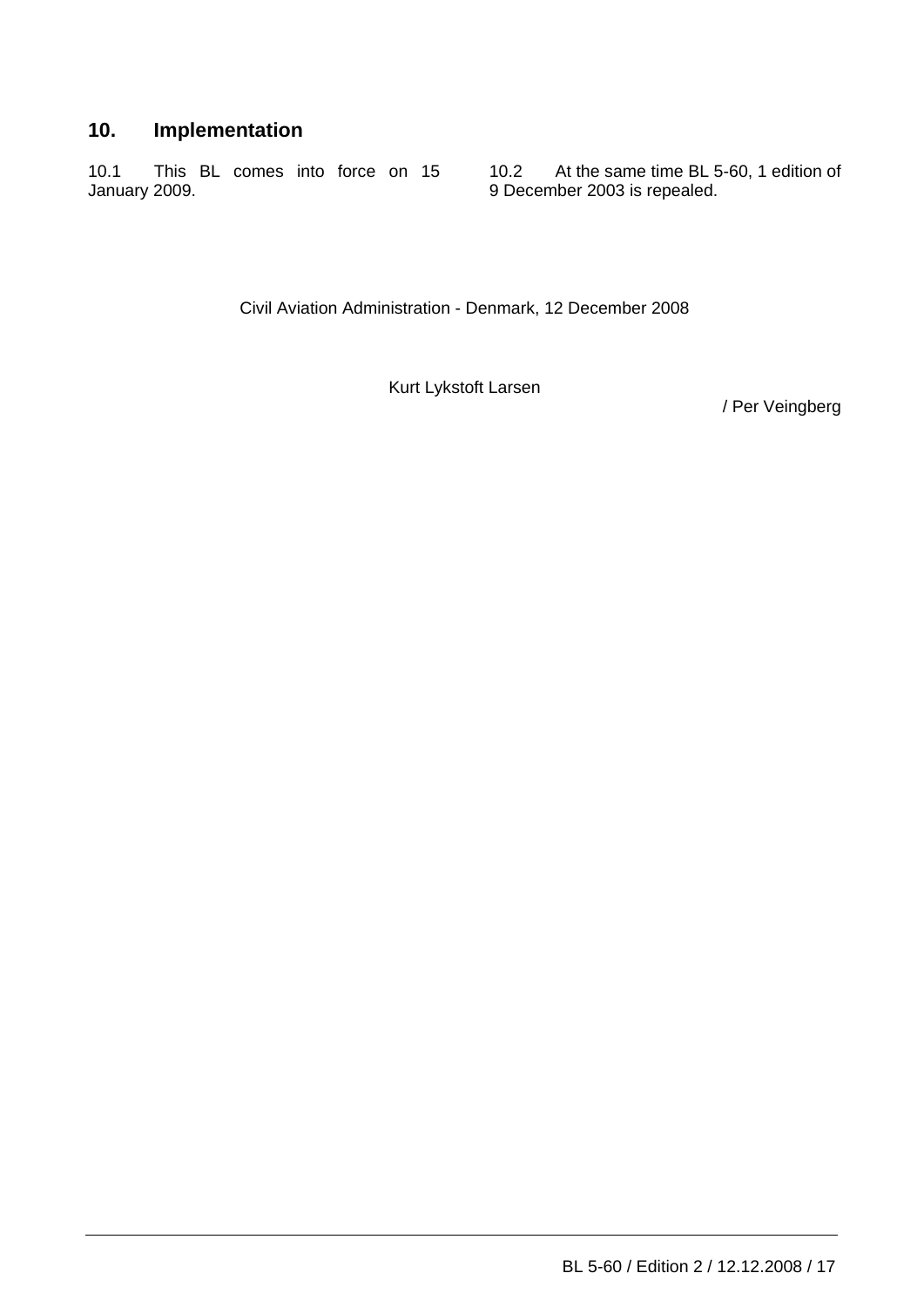# **10. Implementation**

10.1 This BL comes into force on 15 January 2009.

10.2 At the same time BL 5-60, 1 edition of 9 December 2003 is repealed.

Civil Aviation Administration - Denmark, 12 December 2008

Kurt Lykstoft Larsen

/ Per Veingberg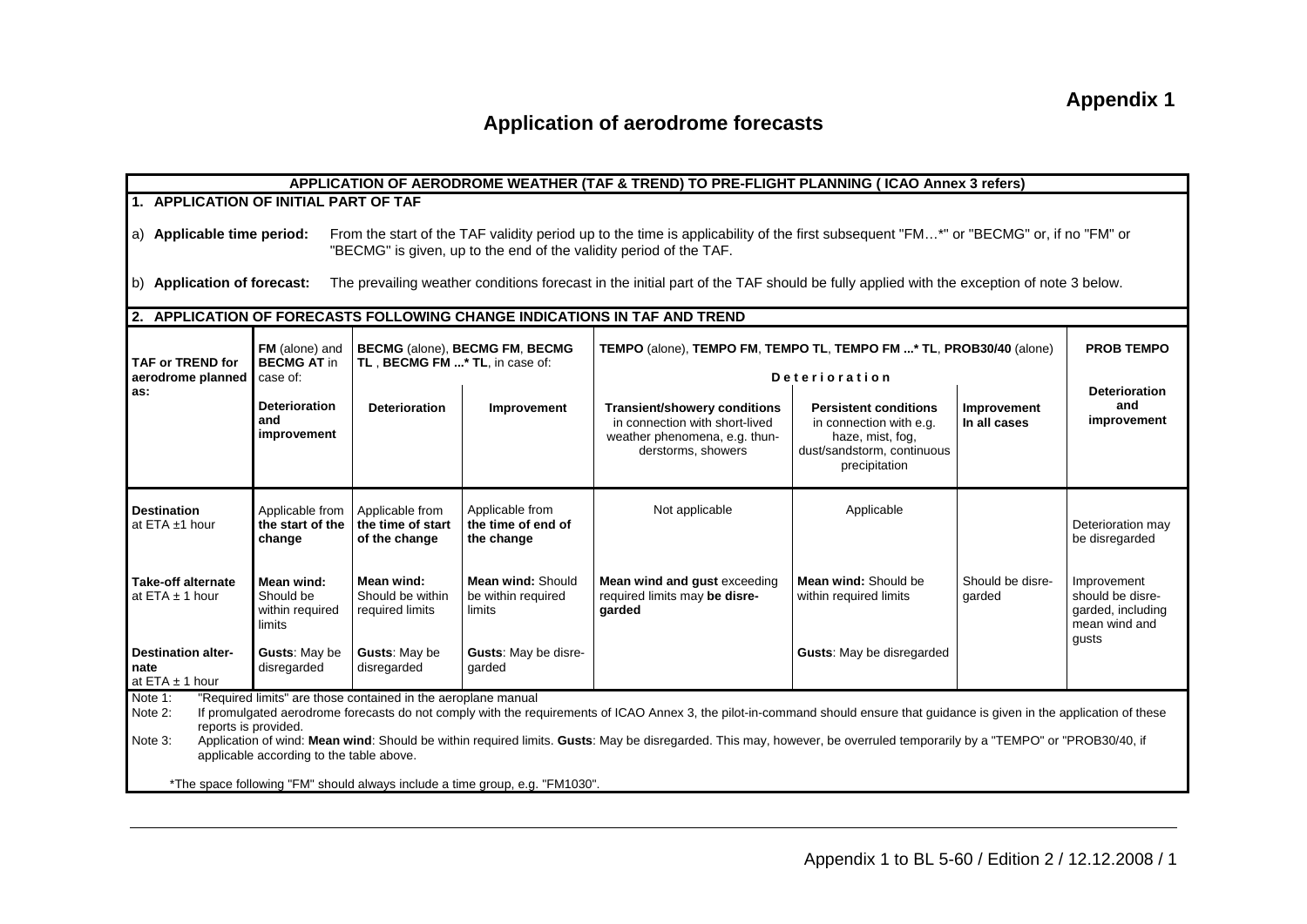# **Application of aerodrome forecasts**

| APPLICATION OF AERODROME WEATHER (TAF & TREND) TO PRE-FLIGHT PLANNING (ICAO Annex 3 refers)                                                                                                                                                                                                                                                                                                                                                                                                                                                                                                                    |                                                                                                                                                                                 |                                                       |                                                     |                                                                                                                                       |                                                                                                                            |                             |                                                                       |
|----------------------------------------------------------------------------------------------------------------------------------------------------------------------------------------------------------------------------------------------------------------------------------------------------------------------------------------------------------------------------------------------------------------------------------------------------------------------------------------------------------------------------------------------------------------------------------------------------------------|---------------------------------------------------------------------------------------------------------------------------------------------------------------------------------|-------------------------------------------------------|-----------------------------------------------------|---------------------------------------------------------------------------------------------------------------------------------------|----------------------------------------------------------------------------------------------------------------------------|-----------------------------|-----------------------------------------------------------------------|
| 1. APPLICATION OF INITIAL PART OF TAF                                                                                                                                                                                                                                                                                                                                                                                                                                                                                                                                                                          |                                                                                                                                                                                 |                                                       |                                                     |                                                                                                                                       |                                                                                                                            |                             |                                                                       |
| From the start of the TAF validity period up to the time is applicability of the first subsequent "FM*" or "BECMG" or, if no "FM" or<br>a) Applicable time period:<br>"BECMG" is given, up to the end of the validity period of the TAF.                                                                                                                                                                                                                                                                                                                                                                       |                                                                                                                                                                                 |                                                       |                                                     |                                                                                                                                       |                                                                                                                            |                             |                                                                       |
| b) Application of forecast:                                                                                                                                                                                                                                                                                                                                                                                                                                                                                                                                                                                    |                                                                                                                                                                                 |                                                       |                                                     | The prevailing weather conditions forecast in the initial part of the TAF should be fully applied with the exception of note 3 below. |                                                                                                                            |                             |                                                                       |
|                                                                                                                                                                                                                                                                                                                                                                                                                                                                                                                                                                                                                |                                                                                                                                                                                 |                                                       |                                                     | 2. APPLICATION OF FORECASTS FOLLOWING CHANGE INDICATIONS IN TAF AND TREND                                                             |                                                                                                                            |                             |                                                                       |
| TAF or TREND for                                                                                                                                                                                                                                                                                                                                                                                                                                                                                                                                                                                               | BECMG (alone), BECMG FM, BECMG<br>FM (alone) and<br>TEMPO (alone), TEMPO FM, TEMPO TL, TEMPO FM * TL, PROB30/40 (alone)<br>TL, BECMG FM * TL, in case of:<br><b>BECMG AT in</b> |                                                       |                                                     |                                                                                                                                       |                                                                                                                            |                             | <b>PROB TEMPO</b>                                                     |
| aerodrome planned                                                                                                                                                                                                                                                                                                                                                                                                                                                                                                                                                                                              | case of:                                                                                                                                                                        |                                                       |                                                     |                                                                                                                                       | <b>Deterioration</b>                                                                                                       |                             | <b>Deterioration</b>                                                  |
| as:                                                                                                                                                                                                                                                                                                                                                                                                                                                                                                                                                                                                            | <b>Deterioration</b><br>and<br>improvement                                                                                                                                      | <b>Deterioration</b>                                  | Improvement                                         | <b>Transient/showery conditions</b><br>in connection with short-lived<br>weather phenomena, e.g. thun-<br>derstorms, showers          | <b>Persistent conditions</b><br>in connection with e.g.<br>haze, mist, fog,<br>dust/sandstorm, continuous<br>precipitation | Improvement<br>In all cases | and<br>improvement                                                    |
| <b>Destination</b><br>at ETA ±1 hour                                                                                                                                                                                                                                                                                                                                                                                                                                                                                                                                                                           | Applicable from<br>the start of the<br>change                                                                                                                                   | Applicable from<br>the time of start<br>of the change | Applicable from<br>the time of end of<br>the change | Not applicable                                                                                                                        | Applicable                                                                                                                 |                             | Deterioration may<br>be disregarded                                   |
| <b>Take-off alternate</b><br>at ETA $\pm$ 1 hour                                                                                                                                                                                                                                                                                                                                                                                                                                                                                                                                                               | Mean wind:<br>Should be<br>within required<br>limits                                                                                                                            | Mean wind:<br>Should be within<br>required limits     | Mean wind: Should<br>be within required<br>limits   | Mean wind and gust exceeding<br>required limits may be disre-<br>garded                                                               | Mean wind: Should be<br>within required limits                                                                             | Should be disre-<br>garded  | Improvement<br>should be disre-<br>garded, including<br>mean wind and |
| <b>Destination alter-</b><br>nate<br>at ETA $\pm$ 1 hour                                                                                                                                                                                                                                                                                                                                                                                                                                                                                                                                                       | Gusts: May be<br>disregarded                                                                                                                                                    | Gusts: May be<br>disregarded                          | Gusts: May be disre-<br>qarded                      |                                                                                                                                       | <b>Gusts:</b> May be disregarded                                                                                           |                             | qusts                                                                 |
| "Required limits" are those contained in the aeroplane manual<br>Note 1:<br>If promulgated aerodrome forecasts do not comply with the requirements of ICAO Annex 3, the pilot-in-command should ensure that guidance is given in the application of these<br>Note 2:<br>reports is provided.<br>Application of wind: Mean wind: Should be within required limits. Gusts: May be disregarded. This may, however, be overruled temporarily by a "TEMPO" or "PROB30/40, if<br>Note 3:<br>applicable according to the table above.<br>*The space following "FM" should always include a time group, e.g. "FM1030". |                                                                                                                                                                                 |                                                       |                                                     |                                                                                                                                       |                                                                                                                            |                             |                                                                       |
|                                                                                                                                                                                                                                                                                                                                                                                                                                                                                                                                                                                                                |                                                                                                                                                                                 |                                                       |                                                     |                                                                                                                                       |                                                                                                                            |                             |                                                                       |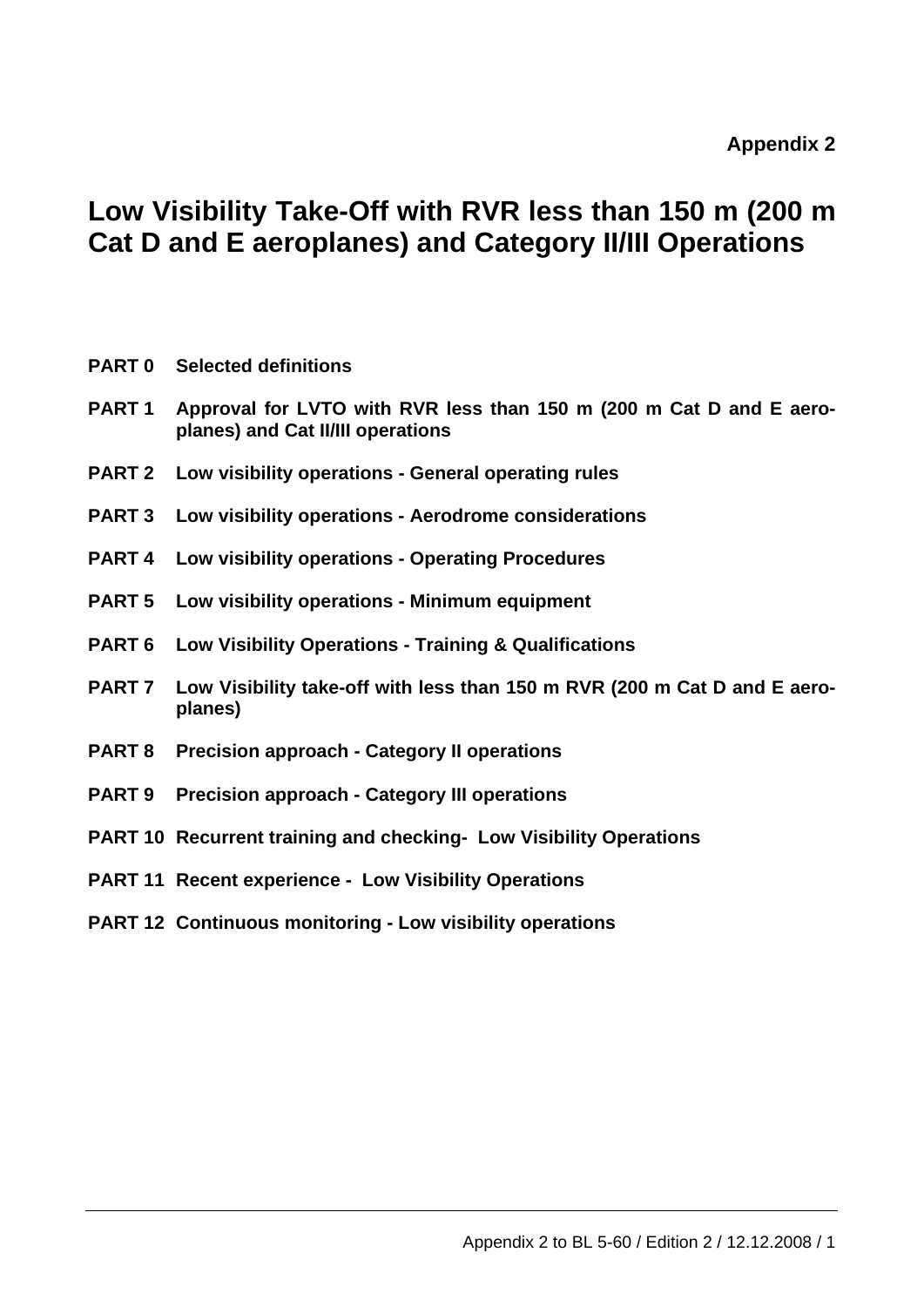# **Low Visibility Take-Off with RVR less than 150 m (200 m Cat D and E aeroplanes) and Category II/III Operations**

|                   | <b>PART 0</b> Selected definitions                                                                       |
|-------------------|----------------------------------------------------------------------------------------------------------|
| PART <sub>1</sub> | Approval for LVTO with RVR less than 150 m (200 m Cat D and E aero-<br>planes) and Cat II/III operations |
| <b>PART 2</b>     | Low visibility operations - General operating rules                                                      |
| <b>PART 3</b>     | Low visibility operations - Aerodrome considerations                                                     |
| <b>PART 4</b>     | Low visibility operations - Operating Procedures                                                         |
| <b>PART 5</b>     | Low visibility operations - Minimum equipment                                                            |
| PART 6            | Low Visibility Operations - Training & Qualifications                                                    |
| PART 7            | Low Visibility take-off with less than 150 m RVR (200 m Cat D and E aero-<br>planes)                     |
| <b>PART 8</b>     | <b>Precision approach - Category II operations</b>                                                       |
| <b>PART 9</b>     | <b>Precision approach - Category III operations</b>                                                      |
|                   | <b>PART 10 Recurrent training and checking- Low Visibility Operations</b>                                |
|                   | <b>PART 11 Recent experience - Low Visibility Operations</b>                                             |
|                   | <b>PART 12 Continuous monitoring - Low visibility operations</b>                                         |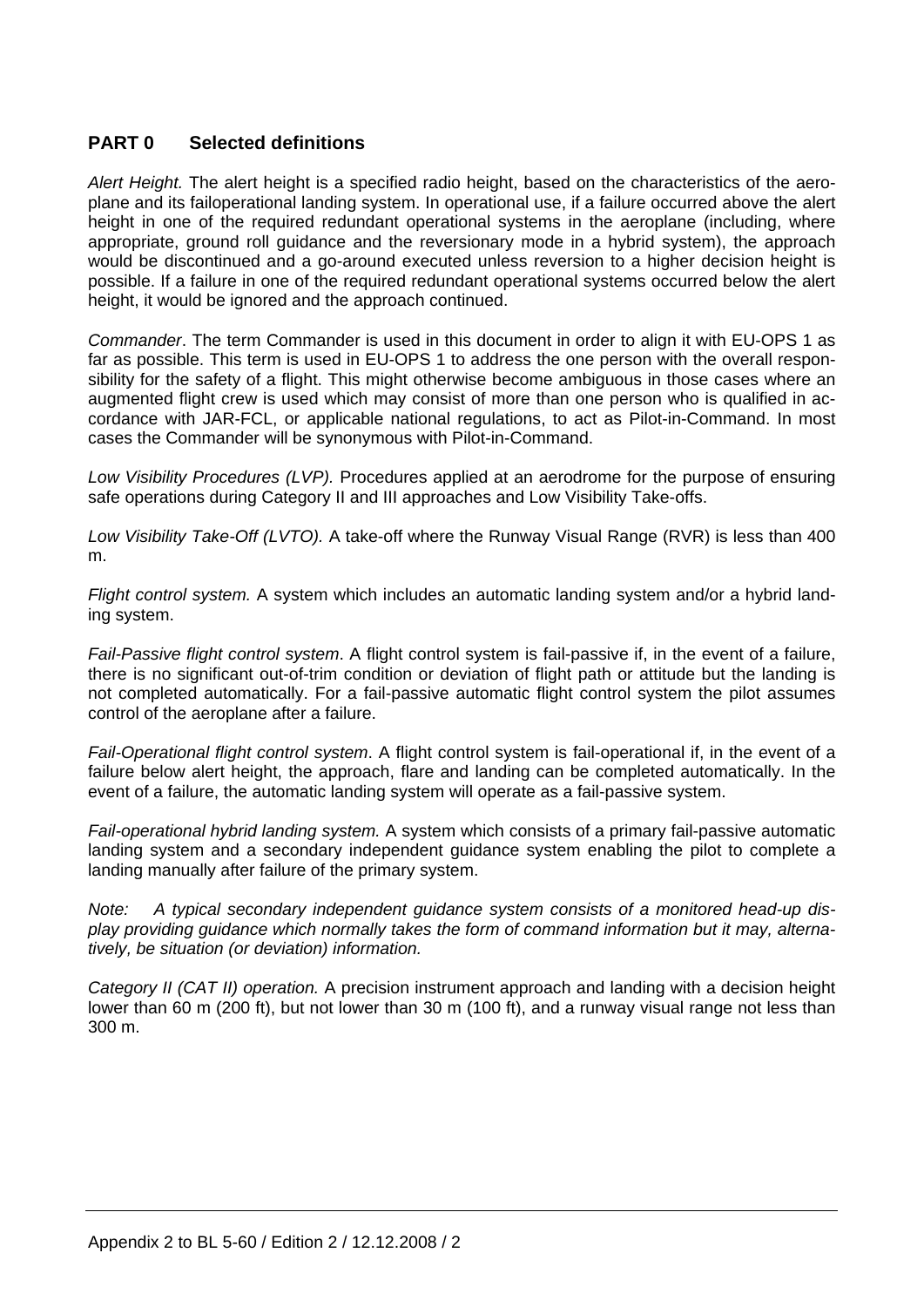# **PART 0 Selected definitions**

*Alert Height.* The alert height is a specified radio height, based on the characteristics of the aeroplane and its failoperational landing system. In operational use, if a failure occurred above the alert height in one of the required redundant operational systems in the aeroplane (including, where appropriate, ground roll guidance and the reversionary mode in a hybrid system), the approach would be discontinued and a go-around executed unless reversion to a higher decision height is possible. If a failure in one of the required redundant operational systems occurred below the alert height, it would be ignored and the approach continued.

*Commander*. The term Commander is used in this document in order to align it with EU-OPS 1 as far as possible. This term is used in EU-OPS 1 to address the one person with the overall responsibility for the safety of a flight. This might otherwise become ambiguous in those cases where an augmented flight crew is used which may consist of more than one person who is qualified in accordance with JAR-FCL, or applicable national regulations, to act as Pilot-in-Command. In most cases the Commander will be synonymous with Pilot-in-Command.

*Low Visibility Procedures (LVP).* Procedures applied at an aerodrome for the purpose of ensuring safe operations during Category II and III approaches and Low Visibility Take-offs.

*Low Visibility Take-Off (LVTO).* A take-off where the Runway Visual Range (RVR) is less than 400 m.

*Flight control system.* A system which includes an automatic landing system and/or a hybrid landing system.

*Fail-Passive flight control system*. A flight control system is fail-passive if, in the event of a failure, there is no significant out-of-trim condition or deviation of flight path or attitude but the landing is not completed automatically. For a fail-passive automatic flight control system the pilot assumes control of the aeroplane after a failure.

*Fail-Operational flight control system*. A flight control system is fail-operational if, in the event of a failure below alert height, the approach, flare and landing can be completed automatically. In the event of a failure, the automatic landing system will operate as a fail-passive system.

*Fail-operational hybrid landing system.* A system which consists of a primary fail-passive automatic landing system and a secondary independent guidance system enabling the pilot to complete a landing manually after failure of the primary system.

*Note: A typical secondary independent guidance system consists of a monitored head-up display providing guidance which normally takes the form of command information but it may, alternatively, be situation (or deviation) information.* 

*Category II (CAT II) operation.* A precision instrument approach and landing with a decision height lower than 60 m (200 ft), but not lower than 30 m (100 ft), and a runway visual range not less than 300 m.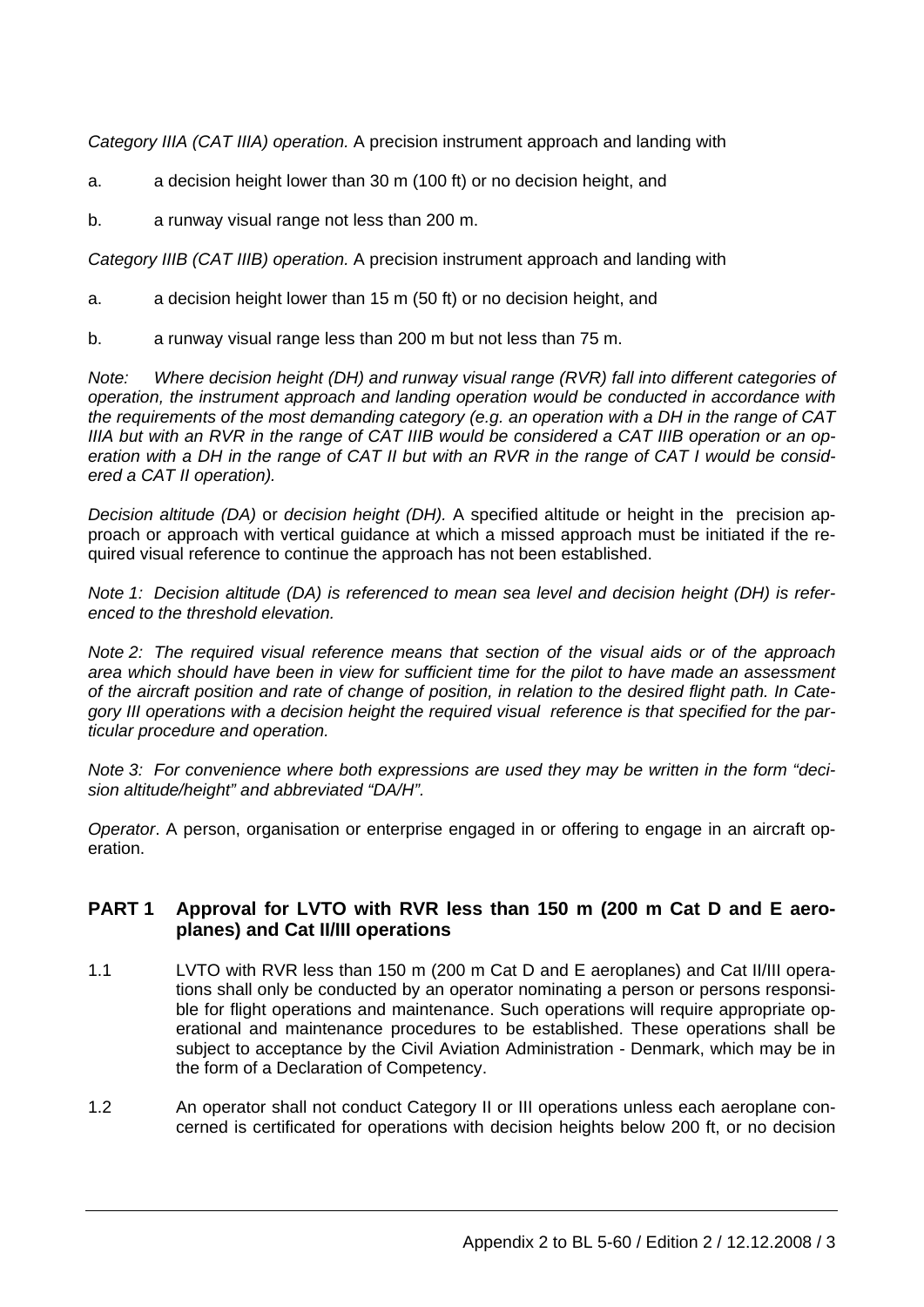*Category IIIA (CAT IIIA) operation.* A precision instrument approach and landing with

a. a decision height lower than 30 m (100 ft) or no decision height, and

b. a runway visual range not less than 200 m.

*Category IIIB (CAT IIIB) operation.* A precision instrument approach and landing with

- a. a decision height lower than 15 m (50 ft) or no decision height, and
- b. a runway visual range less than 200 m but not less than 75 m.

*Note: Where decision height (DH) and runway visual range (RVR) fall into different categories of operation, the instrument approach and landing operation would be conducted in accordance with the requirements of the most demanding category (e.g. an operation with a DH in the range of CAT IIIA but with an RVR in the range of CAT IIIB would be considered a CAT IIIB operation or an operation with a DH in the range of CAT II but with an RVR in the range of CAT I would be considered a CAT II operation).* 

*Decision altitude (DA)* or *decision height (DH).* A specified altitude or height in the precision approach or approach with vertical guidance at which a missed approach must be initiated if the required visual reference to continue the approach has not been established.

*Note 1: Decision altitude (DA) is referenced to mean sea level and decision height (DH) is referenced to the threshold elevation.* 

*Note 2: The required visual reference means that section of the visual aids or of the approach area which should have been in view for sufficient time for the pilot to have made an assessment of the aircraft position and rate of change of position, in relation to the desired flight path. In Category III operations with a decision height the required visual reference is that specified for the particular procedure and operation.* 

*Note 3: For convenience where both expressions are used they may be written in the form "decision altitude/height" and abbreviated "DA/H".* 

*Operator*. A person, organisation or enterprise engaged in or offering to engage in an aircraft operation.

# **PART 1 Approval for LVTO with RVR less than 150 m (200 m Cat D and E aeroplanes) and Cat II/III operations**

- 1.1 LVTO with RVR less than 150 m (200 m Cat D and E aeroplanes) and Cat II/III operations shall only be conducted by an operator nominating a person or persons responsible for flight operations and maintenance. Such operations will require appropriate operational and maintenance procedures to be established. These operations shall be subject to acceptance by the Civil Aviation Administration - Denmark, which may be in the form of a Declaration of Competency.
- 1.2 An operator shall not conduct Category II or III operations unless each aeroplane concerned is certificated for operations with decision heights below 200 ft, or no decision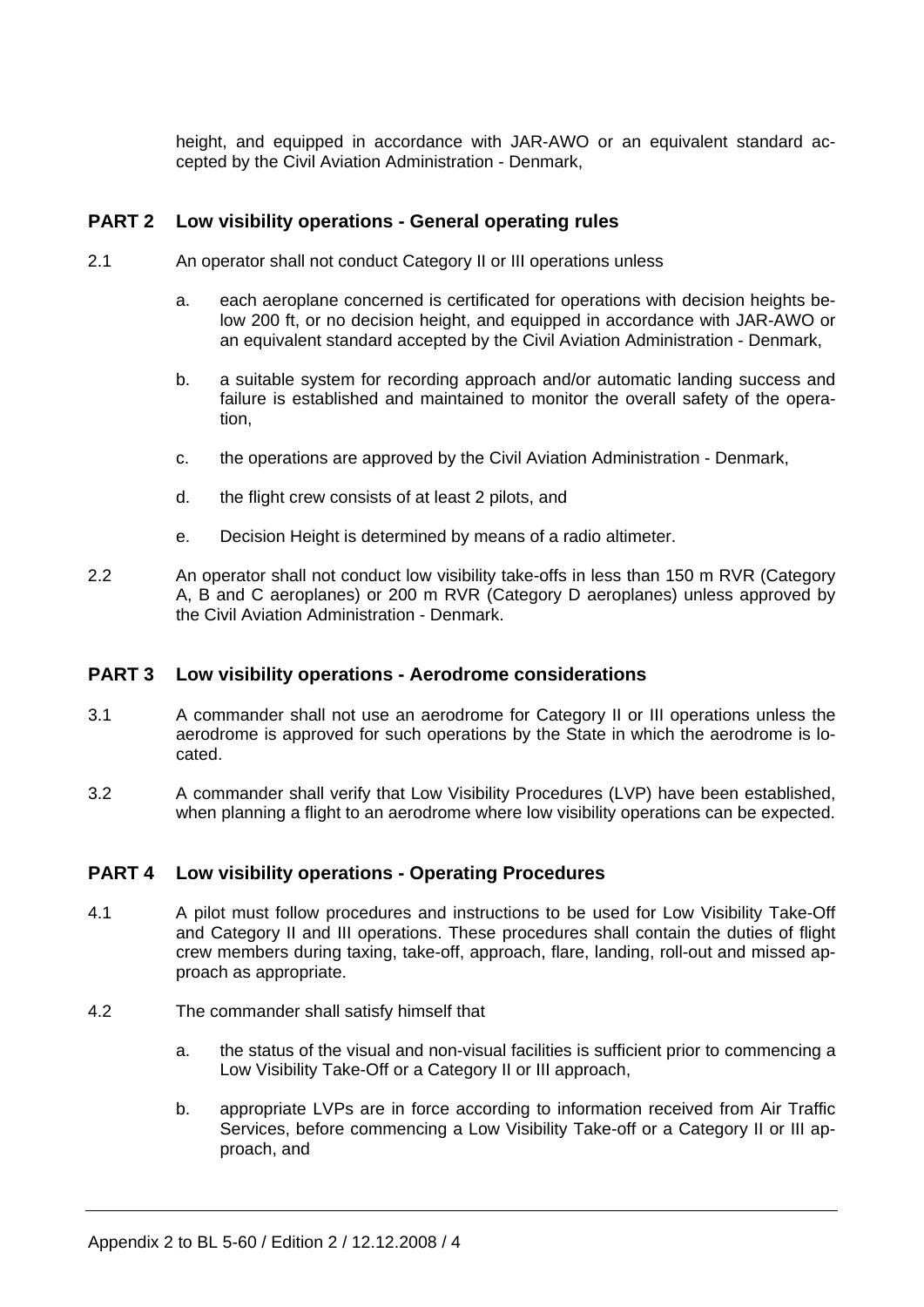height, and equipped in accordance with JAR-AWO or an equivalent standard accepted by the Civil Aviation Administration - Denmark,

# **PART 2 Low visibility operations - General operating rules**

- 2.1 An operator shall not conduct Category II or III operations unless
	- a. each aeroplane concerned is certificated for operations with decision heights below 200 ft, or no decision height, and equipped in accordance with JAR-AWO or an equivalent standard accepted by the Civil Aviation Administration - Denmark,
	- b. a suitable system for recording approach and/or automatic landing success and failure is established and maintained to monitor the overall safety of the operation,
	- c. the operations are approved by the Civil Aviation Administration Denmark,
	- d. the flight crew consists of at least 2 pilots, and
	- e. Decision Height is determined by means of a radio altimeter.
- 2.2 An operator shall not conduct low visibility take-offs in less than 150 m RVR (Category A, B and C aeroplanes) or 200 m RVR (Category D aeroplanes) unless approved by the Civil Aviation Administration - Denmark.

## **PART 3 Low visibility operations - Aerodrome considerations**

- 3.1 A commander shall not use an aerodrome for Category II or III operations unless the aerodrome is approved for such operations by the State in which the aerodrome is located.
- 3.2 A commander shall verify that Low Visibility Procedures (LVP) have been established, when planning a flight to an aerodrome where low visibility operations can be expected.

## **PART 4 Low visibility operations - Operating Procedures**

- 4.1 A pilot must follow procedures and instructions to be used for Low Visibility Take-Off and Category II and III operations. These procedures shall contain the duties of flight crew members during taxing, take-off, approach, flare, landing, roll-out and missed approach as appropriate.
- 4.2 The commander shall satisfy himself that
	- a. the status of the visual and non-visual facilities is sufficient prior to commencing a Low Visibility Take-Off or a Category II or III approach,
	- b. appropriate LVPs are in force according to information received from Air Traffic Services, before commencing a Low Visibility Take-off or a Category II or III approach, and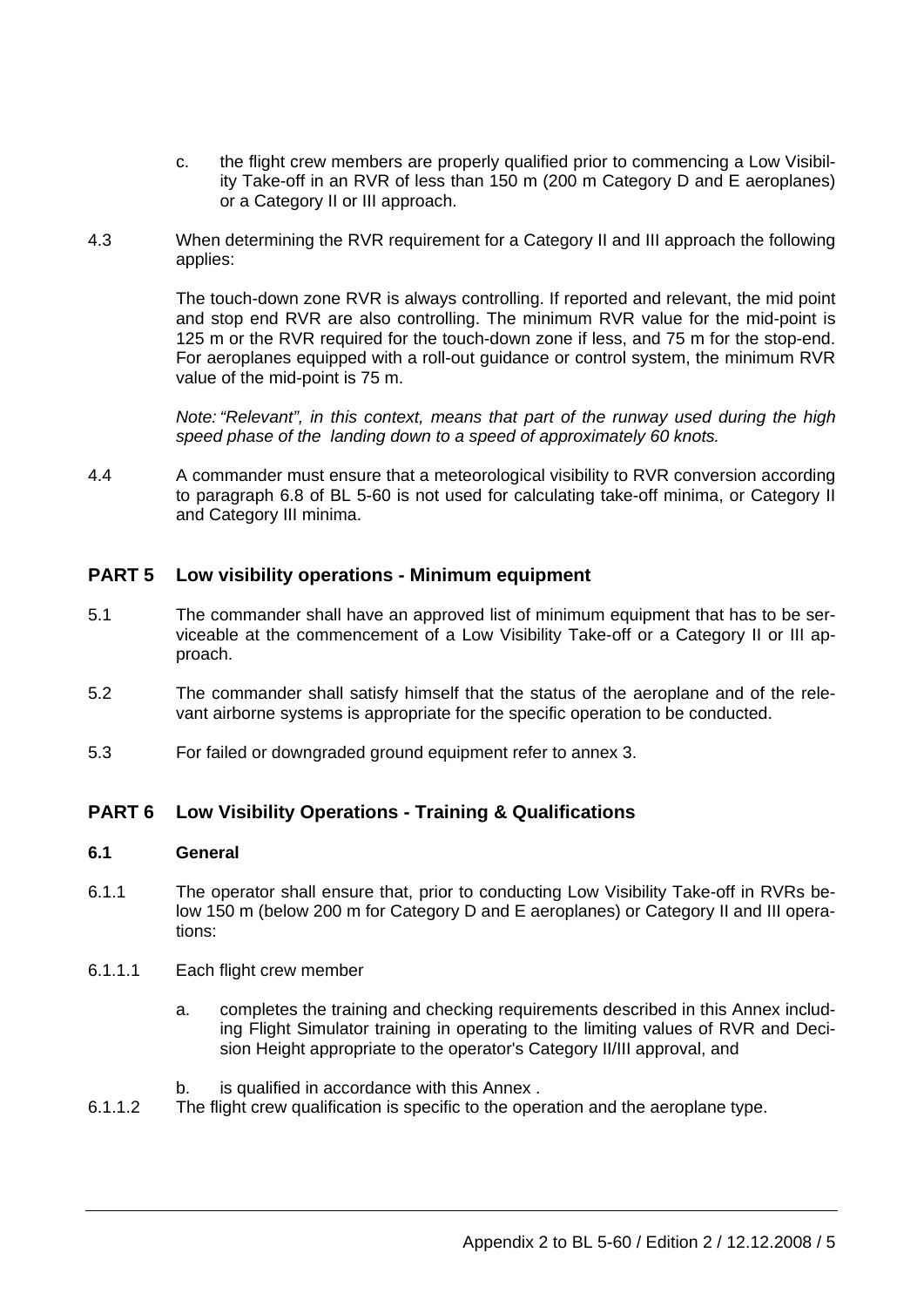- c. the flight crew members are properly qualified prior to commencing a Low Visibility Take-off in an RVR of less than 150 m (200 m Category D and E aeroplanes) or a Category II or III approach.
- 4.3 When determining the RVR requirement for a Category II and III approach the following applies:

 The touch-down zone RVR is always controlling. If reported and relevant, the mid point and stop end RVR are also controlling. The minimum RVR value for the mid-point is 125 m or the RVR required for the touch-down zone if less, and 75 m for the stop-end. For aeroplanes equipped with a roll-out guidance or control system, the minimum RVR value of the mid-point is 75 m.

*Note: "Relevant", in this context, means that part of the runway used during the high speed phase of the landing down to a speed of approximately 60 knots.*

4.4 A commander must ensure that a meteorological visibility to RVR conversion according to paragraph 6.8 of BL 5-60 is not used for calculating take-off minima, or Category II and Category III minima.

# **PART 5 Low visibility operations - Minimum equipment**

- 5.1 The commander shall have an approved list of minimum equipment that has to be serviceable at the commencement of a Low Visibility Take-off or a Category II or III approach.
- 5.2 The commander shall satisfy himself that the status of the aeroplane and of the relevant airborne systems is appropriate for the specific operation to be conducted.
- 5.3 For failed or downgraded ground equipment refer to annex 3.

## **PART 6 Low Visibility Operations - Training & Qualifications**

#### **6.1 General**

- 6.1.1 The operator shall ensure that, prior to conducting Low Visibility Take-off in RVRs below 150 m (below 200 m for Category D and E aeroplanes) or Category II and III operations:
- 6.1.1.1 Each flight crew member
	- a. completes the training and checking requirements described in this Annex including Flight Simulator training in operating to the limiting values of RVR and Decision Height appropriate to the operator's Category II/III approval, and
	- b. is qualified in accordance with this Annex .
- 6.1.1.2 The flight crew qualification is specific to the operation and the aeroplane type.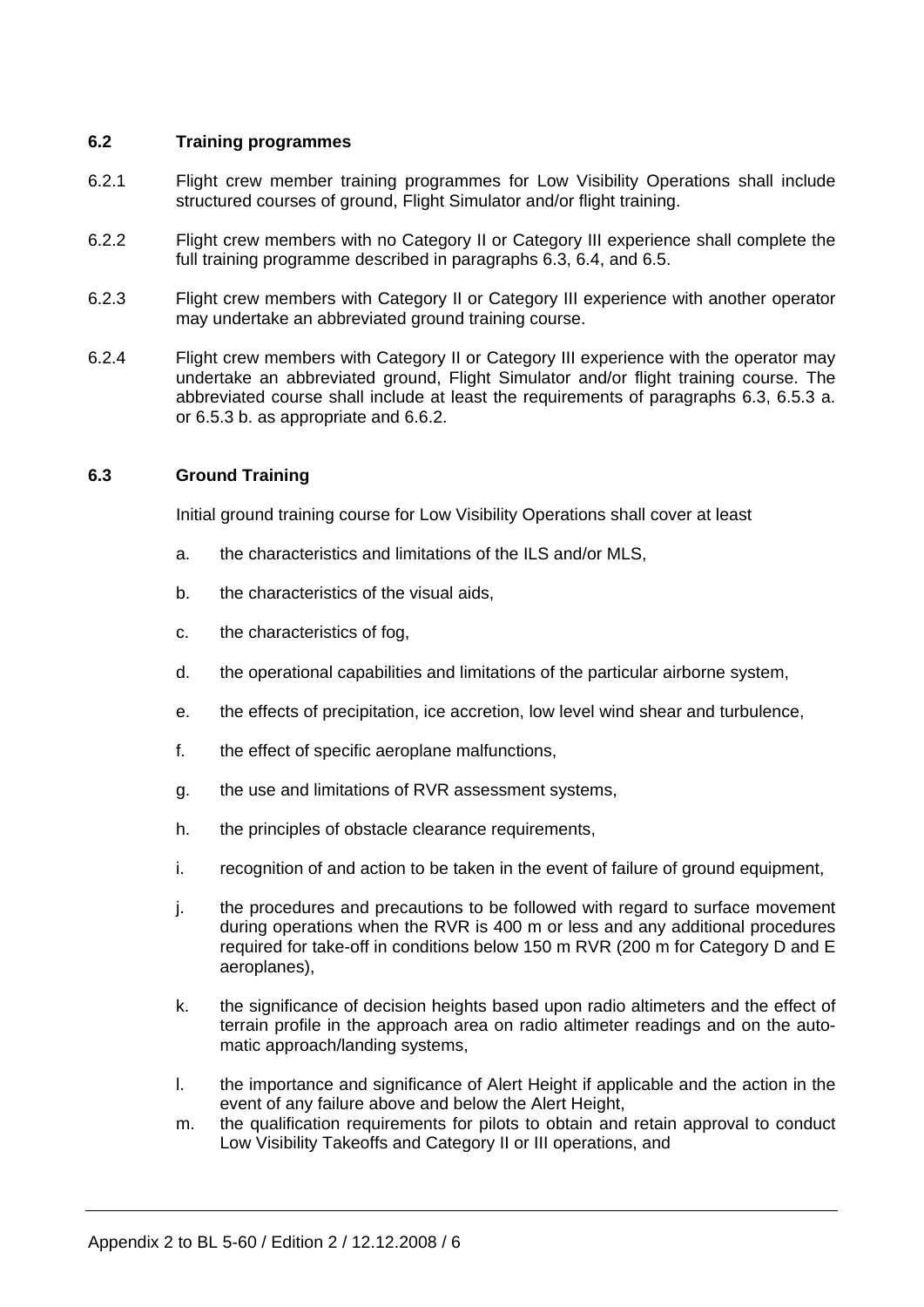## **6.2 Training programmes**

- 6.2.1 Flight crew member training programmes for Low Visibility Operations shall include structured courses of ground, Flight Simulator and/or flight training.
- 6.2.2 Flight crew members with no Category II or Category III experience shall complete the full training programme described in paragraphs 6.3, 6.4, and 6.5.
- 6.2.3 Flight crew members with Category II or Category III experience with another operator may undertake an abbreviated ground training course.
- 6.2.4 Flight crew members with Category II or Category III experience with the operator may undertake an abbreviated ground, Flight Simulator and/or flight training course. The abbreviated course shall include at least the requirements of paragraphs 6.3, 6.5.3 a. or 6.5.3 b. as appropriate and 6.6.2.

## **6.3 Ground Training**

Initial ground training course for Low Visibility Operations shall cover at least

- a. the characteristics and limitations of the ILS and/or MLS,
- b. the characteristics of the visual aids,
- c. the characteristics of fog,
- d. the operational capabilities and limitations of the particular airborne system,
- e. the effects of precipitation, ice accretion, low level wind shear and turbulence,
- f. the effect of specific aeroplane malfunctions,
- g. the use and limitations of RVR assessment systems,
- h. the principles of obstacle clearance requirements,
- i. recognition of and action to be taken in the event of failure of ground equipment,
- j. the procedures and precautions to be followed with regard to surface movement during operations when the RVR is 400 m or less and any additional procedures required for take-off in conditions below 150 m RVR (200 m for Category D and E aeroplanes),
- k. the significance of decision heights based upon radio altimeters and the effect of terrain profile in the approach area on radio altimeter readings and on the automatic approach/landing systems,
- l. the importance and significance of Alert Height if applicable and the action in the event of any failure above and below the Alert Height,
- m. the qualification requirements for pilots to obtain and retain approval to conduct Low Visibility Takeoffs and Category II or III operations, and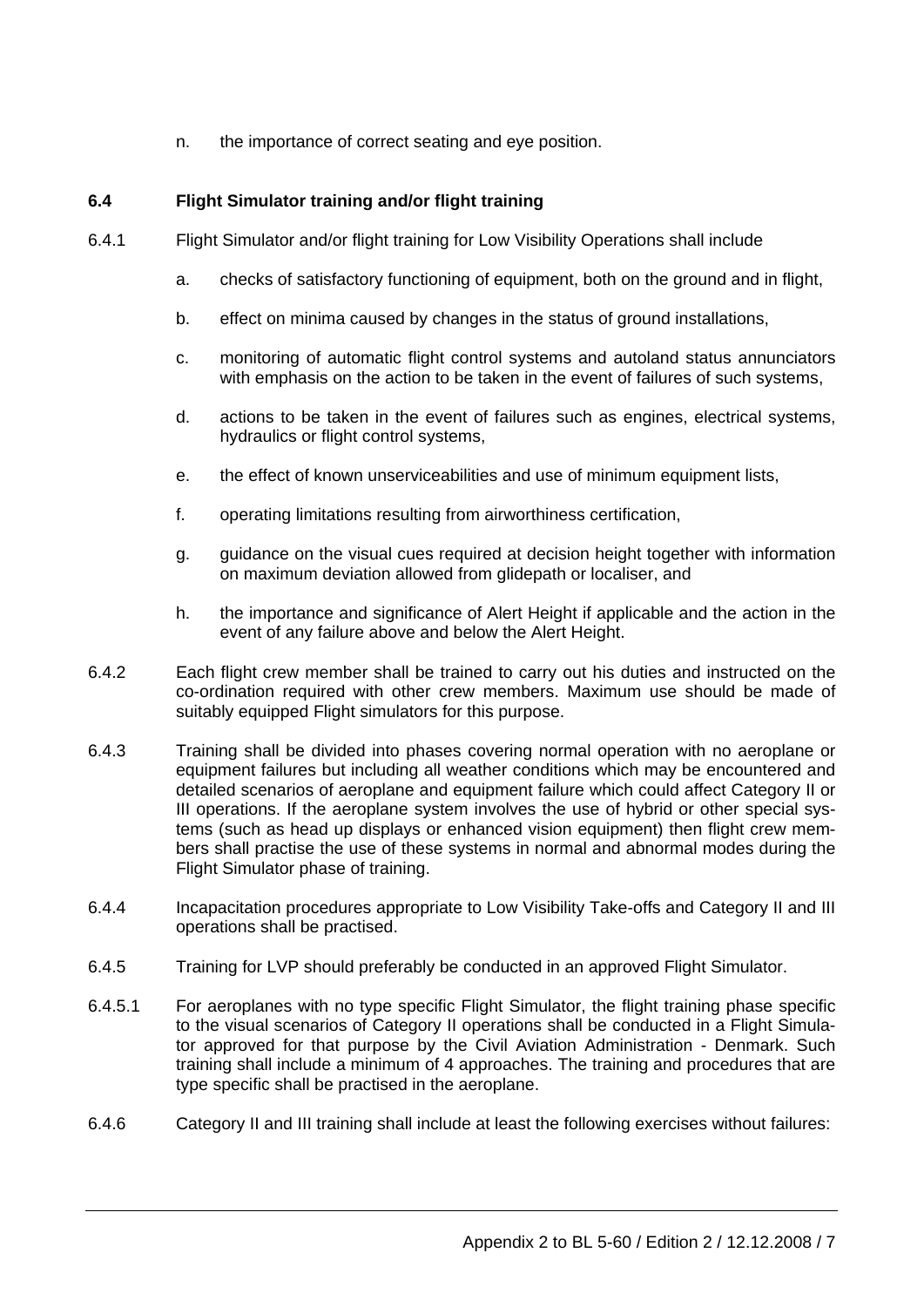n. the importance of correct seating and eye position.

# **6.4 Flight Simulator training and/or flight training**

- 6.4.1 Flight Simulator and/or flight training for Low Visibility Operations shall include
	- a. checks of satisfactory functioning of equipment, both on the ground and in flight,
	- b. effect on minima caused by changes in the status of ground installations,
	- c. monitoring of automatic flight control systems and autoland status annunciators with emphasis on the action to be taken in the event of failures of such systems,
	- d. actions to be taken in the event of failures such as engines, electrical systems, hydraulics or flight control systems,
	- e. the effect of known unserviceabilities and use of minimum equipment lists,
	- f. operating limitations resulting from airworthiness certification,
	- g. guidance on the visual cues required at decision height together with information on maximum deviation allowed from glidepath or localiser, and
	- h. the importance and significance of Alert Height if applicable and the action in the event of any failure above and below the Alert Height.
- 6.4.2 Each flight crew member shall be trained to carry out his duties and instructed on the co-ordination required with other crew members. Maximum use should be made of suitably equipped Flight simulators for this purpose.
- 6.4.3 Training shall be divided into phases covering normal operation with no aeroplane or equipment failures but including all weather conditions which may be encountered and detailed scenarios of aeroplane and equipment failure which could affect Category II or III operations. If the aeroplane system involves the use of hybrid or other special systems (such as head up displays or enhanced vision equipment) then flight crew members shall practise the use of these systems in normal and abnormal modes during the Flight Simulator phase of training.
- 6.4.4 Incapacitation procedures appropriate to Low Visibility Take-offs and Category II and III operations shall be practised.
- 6.4.5 Training for LVP should preferably be conducted in an approved Flight Simulator.
- 6.4.5.1 For aeroplanes with no type specific Flight Simulator, the flight training phase specific to the visual scenarios of Category II operations shall be conducted in a Flight Simulator approved for that purpose by the Civil Aviation Administration - Denmark. Such training shall include a minimum of 4 approaches. The training and procedures that are type specific shall be practised in the aeroplane.
- 6.4.6 Category II and III training shall include at least the following exercises without failures: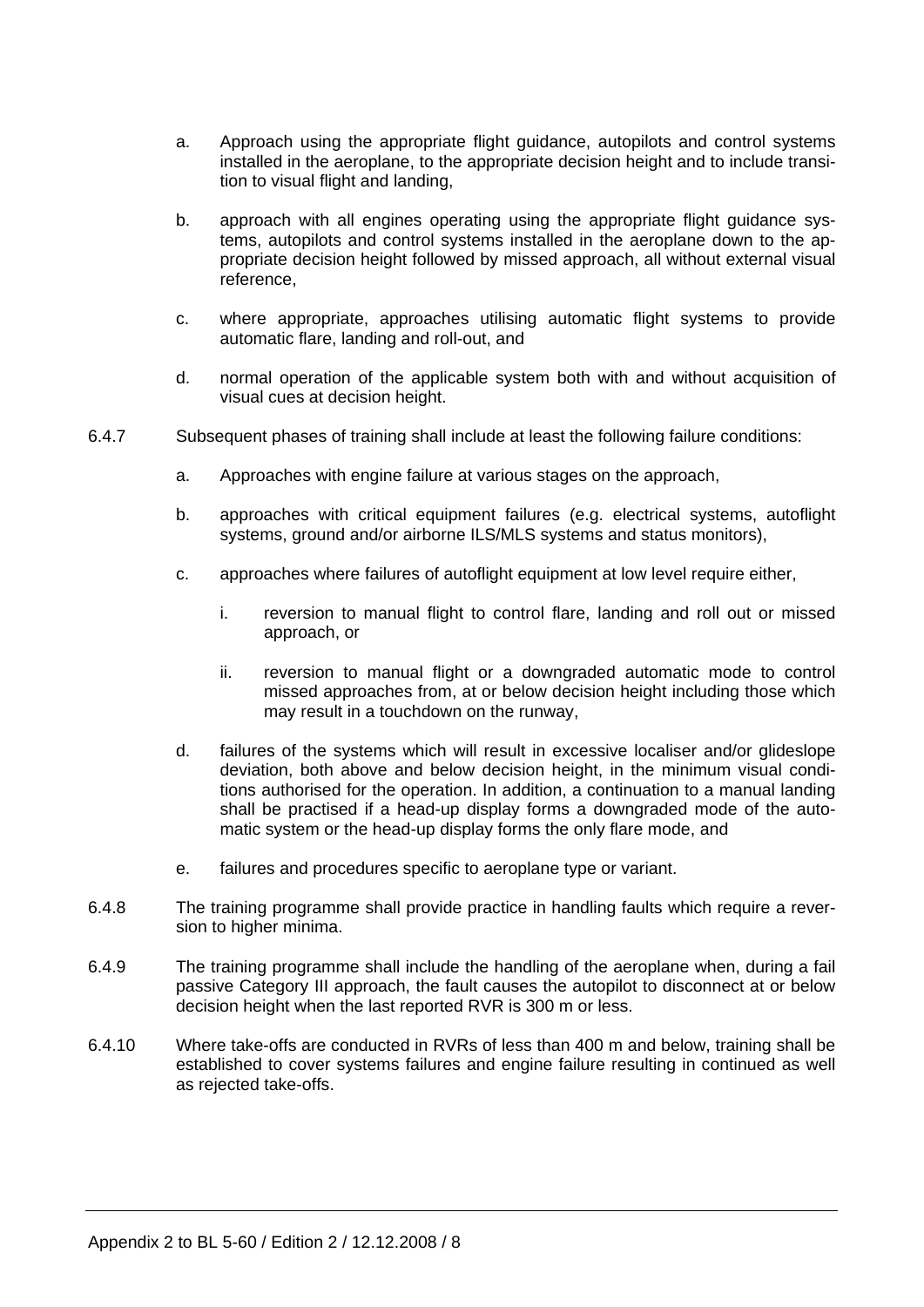- a. Approach using the appropriate flight guidance, autopilots and control systems installed in the aeroplane, to the appropriate decision height and to include transition to visual flight and landing,
- b. approach with all engines operating using the appropriate flight guidance systems, autopilots and control systems installed in the aeroplane down to the appropriate decision height followed by missed approach, all without external visual reference,
- c. where appropriate, approaches utilising automatic flight systems to provide automatic flare, landing and roll-out, and
- d. normal operation of the applicable system both with and without acquisition of visual cues at decision height.
- 6.4.7 Subsequent phases of training shall include at least the following failure conditions:
	- a. Approaches with engine failure at various stages on the approach,
	- b. approaches with critical equipment failures (e.g. electrical systems, autoflight systems, ground and/or airborne ILS/MLS systems and status monitors),
	- c. approaches where failures of autoflight equipment at low level require either,
		- i. reversion to manual flight to control flare, landing and roll out or missed approach, or
		- ii. reversion to manual flight or a downgraded automatic mode to control missed approaches from, at or below decision height including those which may result in a touchdown on the runway,
	- d. failures of the systems which will result in excessive localiser and/or glideslope deviation, both above and below decision height, in the minimum visual conditions authorised for the operation. In addition, a continuation to a manual landing shall be practised if a head-up display forms a downgraded mode of the automatic system or the head-up display forms the only flare mode, and
	- e. failures and procedures specific to aeroplane type or variant.
	- 6.4.8 The training programme shall provide practice in handling faults which require a reversion to higher minima.
	- 6.4.9 The training programme shall include the handling of the aeroplane when, during a fail passive Category III approach, the fault causes the autopilot to disconnect at or below decision height when the last reported RVR is 300 m or less.
	- 6.4.10 Where take-offs are conducted in RVRs of less than 400 m and below, training shall be established to cover systems failures and engine failure resulting in continued as well as rejected take-offs.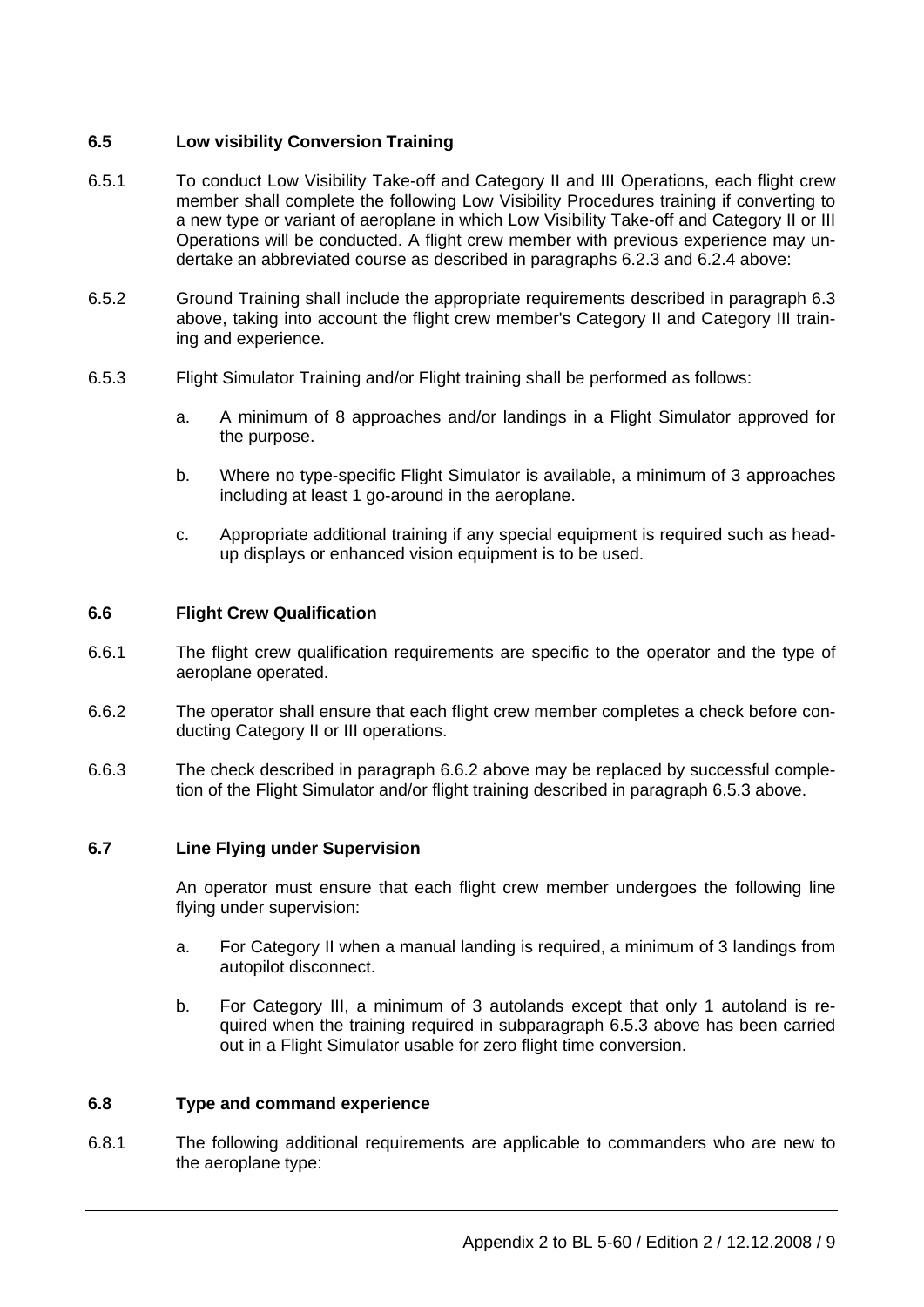# **6.5 Low visibility Conversion Training**

- 6.5.1 To conduct Low Visibility Take-off and Category II and III Operations, each flight crew member shall complete the following Low Visibility Procedures training if converting to a new type or variant of aeroplane in which Low Visibility Take-off and Category II or III Operations will be conducted. A flight crew member with previous experience may undertake an abbreviated course as described in paragraphs 6.2.3 and 6.2.4 above:
- 6.5.2 Ground Training shall include the appropriate requirements described in paragraph 6.3 above, taking into account the flight crew member's Category II and Category III training and experience.
- 6.5.3 Flight Simulator Training and/or Flight training shall be performed as follows:
	- a. A minimum of 8 approaches and/or landings in a Flight Simulator approved for the purpose.
	- b. Where no type-specific Flight Simulator is available, a minimum of 3 approaches including at least 1 go-around in the aeroplane.
	- c. Appropriate additional training if any special equipment is required such as headup displays or enhanced vision equipment is to be used.

#### **6.6 Flight Crew Qualification**

- 6.6.1 The flight crew qualification requirements are specific to the operator and the type of aeroplane operated.
- 6.6.2 The operator shall ensure that each flight crew member completes a check before conducting Category II or III operations.
- 6.6.3 The check described in paragraph 6.6.2 above may be replaced by successful completion of the Flight Simulator and/or flight training described in paragraph 6.5.3 above.

#### **6.7 Line Flying under Supervision**

 An operator must ensure that each flight crew member undergoes the following line flying under supervision:

- a. For Category II when a manual landing is required, a minimum of 3 landings from autopilot disconnect.
- b. For Category III, a minimum of 3 autolands except that only 1 autoland is required when the training required in subparagraph 6.5.3 above has been carried out in a Flight Simulator usable for zero flight time conversion.

#### **6.8 Type and command experience**

6.8.1 The following additional requirements are applicable to commanders who are new to the aeroplane type: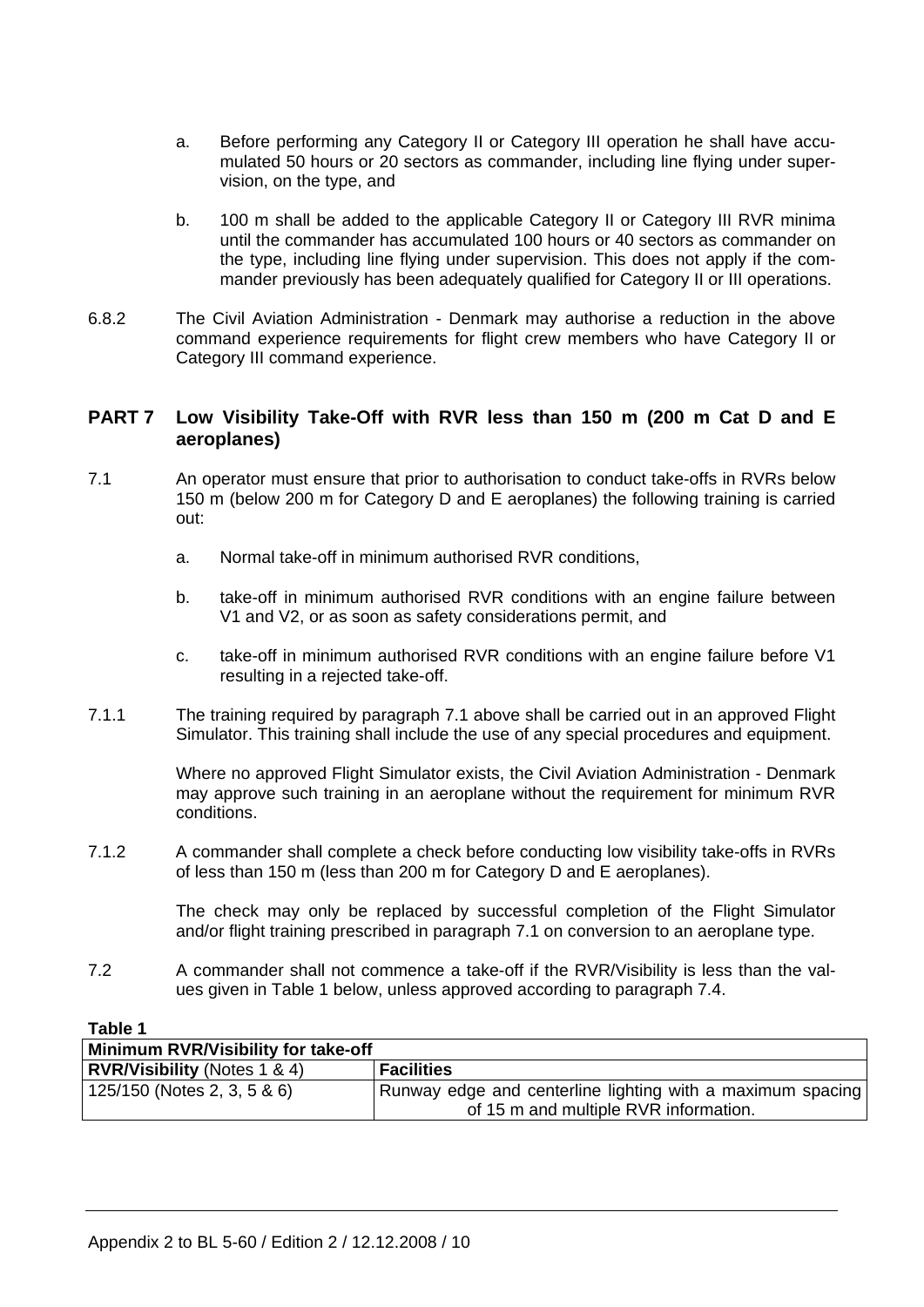- a. Before performing any Category II or Category III operation he shall have accumulated 50 hours or 20 sectors as commander, including line flying under supervision, on the type, and
- b. 100 m shall be added to the applicable Category II or Category III RVR minima until the commander has accumulated 100 hours or 40 sectors as commander on the type, including line flying under supervision. This does not apply if the commander previously has been adequately qualified for Category II or III operations.
- 6.8.2 The Civil Aviation Administration Denmark may authorise a reduction in the above command experience requirements for flight crew members who have Category II or Category III command experience.

# **PART 7 Low Visibility Take-Off with RVR less than 150 m (200 m Cat D and E aeroplanes)**

- 7.1 An operator must ensure that prior to authorisation to conduct take-offs in RVRs below 150 m (below 200 m for Category D and E aeroplanes) the following training is carried out:
	- a. Normal take-off in minimum authorised RVR conditions,
	- b. take-off in minimum authorised RVR conditions with an engine failure between V1 and V2, or as soon as safety considerations permit, and
	- c. take-off in minimum authorised RVR conditions with an engine failure before V1 resulting in a rejected take-off.
- 7.1.1 The training required by paragraph 7.1 above shall be carried out in an approved Flight Simulator. This training shall include the use of any special procedures and equipment.

 Where no approved Flight Simulator exists, the Civil Aviation Administration - Denmark may approve such training in an aeroplane without the requirement for minimum RVR conditions.

7.1.2 A commander shall complete a check before conducting low visibility take-offs in RVRs of less than 150 m (less than 200 m for Category D and E aeroplanes).

> The check may only be replaced by successful completion of the Flight Simulator and/or flight training prescribed in paragraph 7.1 on conversion to an aeroplane type.

7.2 A commander shall not commence a take-off if the RVR/Visibility is less than the values given in Table 1 below, unless approved according to paragraph 7.4.

#### **Table 1**

| Minimum RVR/Visibility for take-off |                                                            |  |  |  |  |
|-------------------------------------|------------------------------------------------------------|--|--|--|--|
| <b>RVR/Visibility</b> (Notes 1 & 4) | <b>Facilities</b>                                          |  |  |  |  |
| 125/150 (Notes 2, 3, 5 & 6)         | Runway edge and centerline lighting with a maximum spacing |  |  |  |  |
|                                     | of 15 m and multiple RVR information.                      |  |  |  |  |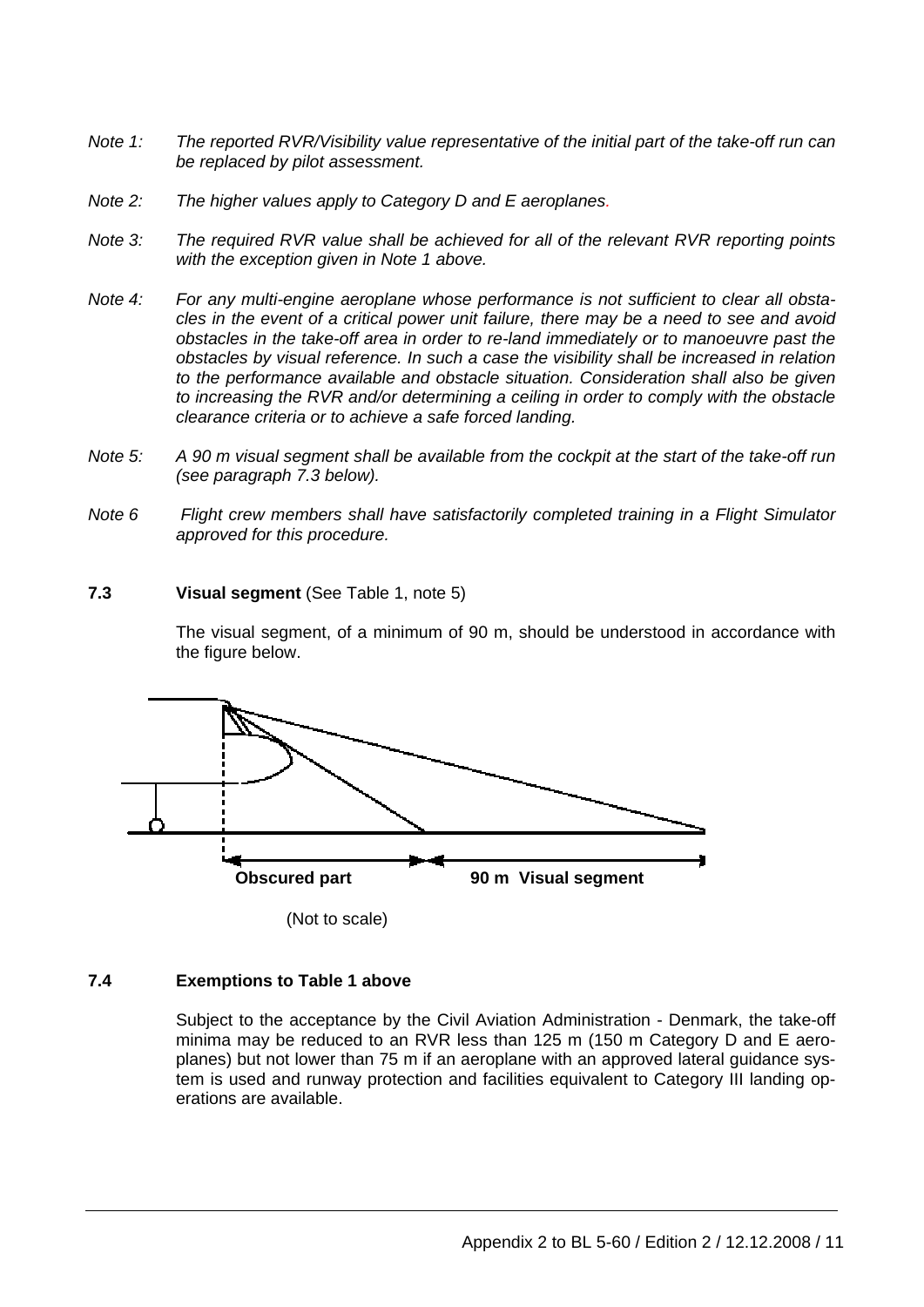- *Note 1: The reported RVR/Visibility value representative of the initial part of the take-off run can be replaced by pilot assessment.*
- *Note 2: The higher values apply to Category D and E aeroplanes.*
- *Note 3: The required RVR value shall be achieved for all of the relevant RVR reporting points with the exception given in Note 1 above.*
- *Note 4: For any multi-engine aeroplane whose performance is not sufficient to clear all obstacles in the event of a critical power unit failure, there may be a need to see and avoid obstacles in the take-off area in order to re-land immediately or to manoeuvre past the obstacles by visual reference. In such a case the visibility shall be increased in relation to the performance available and obstacle situation. Consideration shall also be given to increasing the RVR and/or determining a ceiling in order to comply with the obstacle clearance criteria or to achieve a safe forced landing.*
- *Note 5: A 90 m visual segment shall be available from the cockpit at the start of the take-off run (see paragraph 7.3 below).*
- *Note 6 Flight crew members shall have satisfactorily completed training in a Flight Simulator approved for this procedure.*

#### **7.3 Visual segment** (See Table 1, note 5)

 The visual segment, of a minimum of 90 m, should be understood in accordance with the figure below.



(Not to scale)

## **7.4 Exemptions to Table 1 above**

 Subject to the acceptance by the Civil Aviation Administration - Denmark, the take-off minima may be reduced to an RVR less than 125 m (150 m Category D and E aeroplanes) but not lower than 75 m if an aeroplane with an approved lateral guidance system is used and runway protection and facilities equivalent to Category III landing operations are available.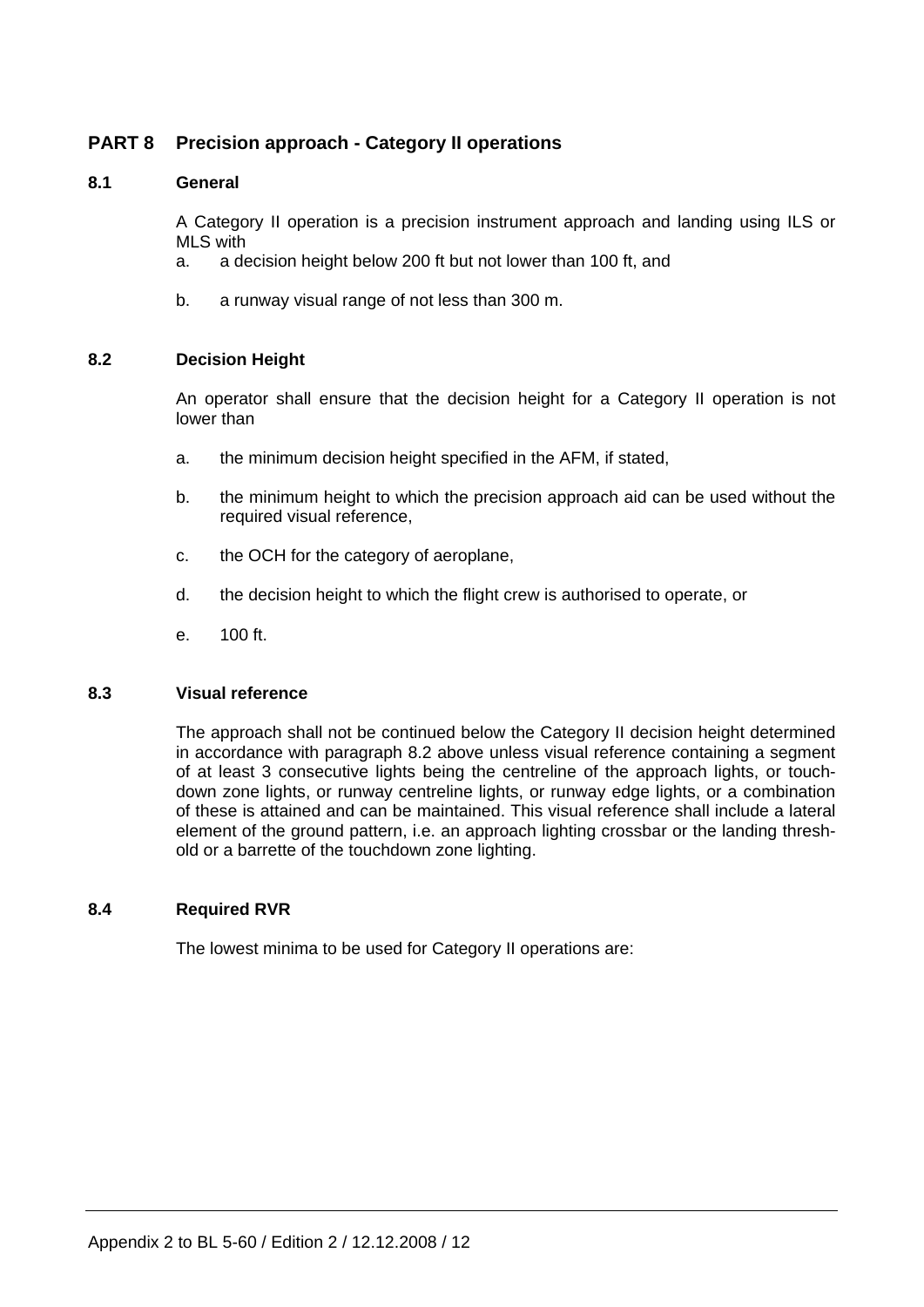# **PART 8 Precision approach - Category II operations**

## **8.1 General**

 A Category II operation is a precision instrument approach and landing using ILS or MLS with

- a. a decision height below 200 ft but not lower than 100 ft, and
- b. a runway visual range of not less than 300 m.

## **8.2 Decision Height**

 An operator shall ensure that the decision height for a Category II operation is not lower than

- a. the minimum decision height specified in the AFM, if stated,
- b. the minimum height to which the precision approach aid can be used without the required visual reference,
- c. the OCH for the category of aeroplane,
- d. the decision height to which the flight crew is authorised to operate, or
- e. 100 ft.

#### **8.3 Visual reference**

 The approach shall not be continued below the Category II decision height determined in accordance with paragraph 8.2 above unless visual reference containing a segment of at least 3 consecutive lights being the centreline of the approach lights, or touchdown zone lights, or runway centreline lights, or runway edge lights, or a combination of these is attained and can be maintained. This visual reference shall include a lateral element of the ground pattern, i.e. an approach lighting crossbar or the landing threshold or a barrette of the touchdown zone lighting.

#### **8.4 Required RVR**

The lowest minima to be used for Category II operations are: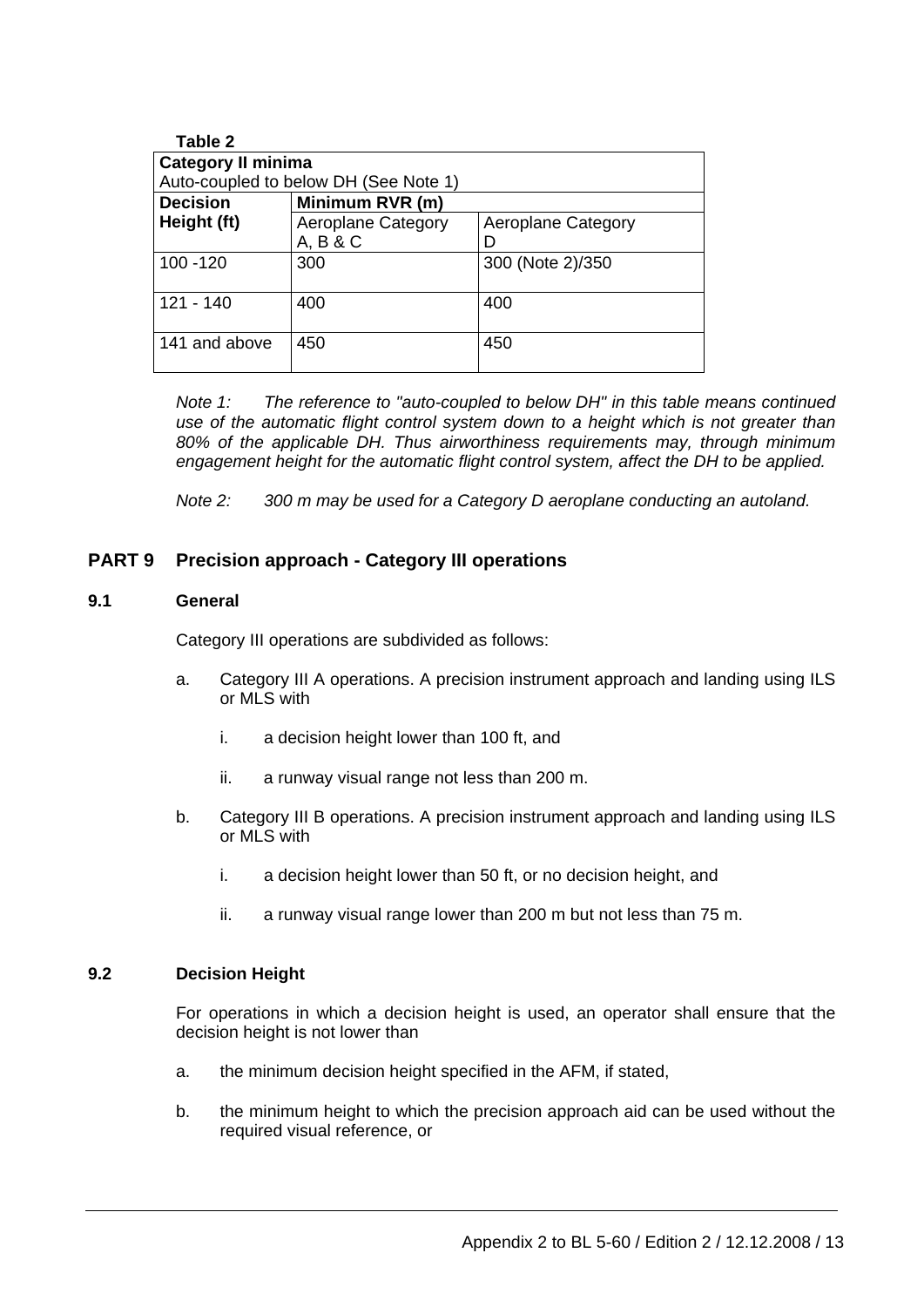| <b>Category II minima</b> | Auto-coupled to below DH (See Note 1) |                           |
|---------------------------|---------------------------------------|---------------------------|
| <b>Decision</b>           | Minimum RVR (m)                       |                           |
| Height (ft)               | Aeroplane Category<br>A, B & C        | <b>Aeroplane Category</b> |
| $100 - 120$               | 300                                   | 300 (Note 2)/350          |
| $121 - 140$               | 400                                   | 400                       |
| 141 and above             | 450                                   | 450                       |

*Note 1: The reference to "auto-coupled to below DH" in this table means continued use of the automatic flight control system down to a height which is not greater than 80% of the applicable DH. Thus airworthiness requirements may, through minimum engagement height for the automatic flight control system, affect the DH to be applied.* 

 *Note 2: 300 m may be used for a Category D aeroplane conducting an autoland.* 

# **PART 9 Precision approach - Category III operations**

#### **9.1 General**

Category III operations are subdivided as follows:

- a. Category III A operations. A precision instrument approach and landing using ILS or MLS with
	- i. a decision height lower than 100 ft, and
	- ii. a runway visual range not less than 200 m.
- b. Category III B operations. A precision instrument approach and landing using ILS or MLS with
	- i. a decision height lower than 50 ft, or no decision height, and
	- ii. a runway visual range lower than 200 m but not less than 75 m.

#### **9.2 Decision Height**

 For operations in which a decision height is used, an operator shall ensure that the decision height is not lower than

- a. the minimum decision height specified in the AFM, if stated,
- b. the minimum height to which the precision approach aid can be used without the required visual reference, or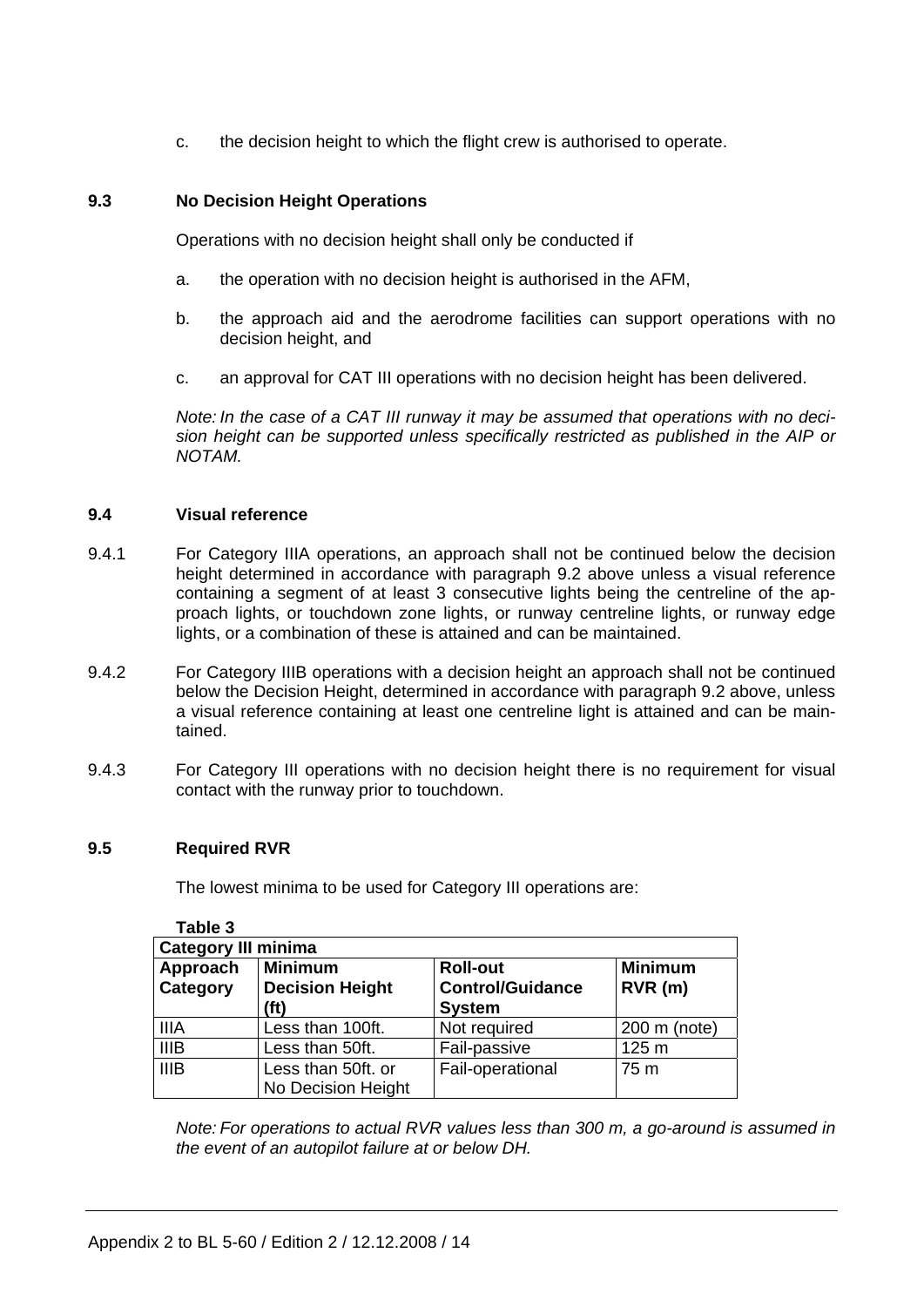c. the decision height to which the flight crew is authorised to operate.

# **9.3 No Decision Height Operations**

Operations with no decision height shall only be conducted if

- a. the operation with no decision height is authorised in the AFM,
- b. the approach aid and the aerodrome facilities can support operations with no decision height, and
- c. an approval for CAT III operations with no decision height has been delivered.

*Note: In the case of a CAT III runway it may be assumed that operations with no decision height can be supported unless specifically restricted as published in the AIP or NOTAM.* 

## **9.4 Visual reference**

- 9.4.1 For Category IIIA operations, an approach shall not be continued below the decision height determined in accordance with paragraph 9.2 above unless a visual reference containing a segment of at least 3 consecutive lights being the centreline of the approach lights, or touchdown zone lights, or runway centreline lights, or runway edge lights, or a combination of these is attained and can be maintained.
- 9.4.2 For Category IIIB operations with a decision height an approach shall not be continued below the Decision Height, determined in accordance with paragraph 9.2 above, unless a visual reference containing at least one centreline light is attained and can be maintained.
- 9.4.3 For Category III operations with no decision height there is no requirement for visual contact with the runway prior to touchdown.

## **9.5 Required RVR**

The lowest minima to be used for Category III operations are:

| rapie s                    |                                                  |                                                             |                          |  |  |  |
|----------------------------|--------------------------------------------------|-------------------------------------------------------------|--------------------------|--|--|--|
| <b>Category III minima</b> |                                                  |                                                             |                          |  |  |  |
| Approach<br>Category       | <b>Minimum</b><br><b>Decision Height</b><br>(ft) | <b>Roll-out</b><br><b>Control/Guidance</b><br><b>System</b> | <b>Minimum</b><br>RVR(m) |  |  |  |
| <b>IIIA</b>                | Less than 100ft.                                 | Not required                                                | 200 m (note)             |  |  |  |
| <b>IIIB</b>                | Less than 50ft.                                  | Fail-passive                                                | 125 m                    |  |  |  |
| <b>IIIB</b>                | Less than 50ft. or<br>No Decision Height         | Fail-operational                                            | 75 m                     |  |  |  |

 **Table 3** 

*Note: For operations to actual RVR values less than 300 m, a go-around is assumed in the event of an autopilot failure at or below DH.*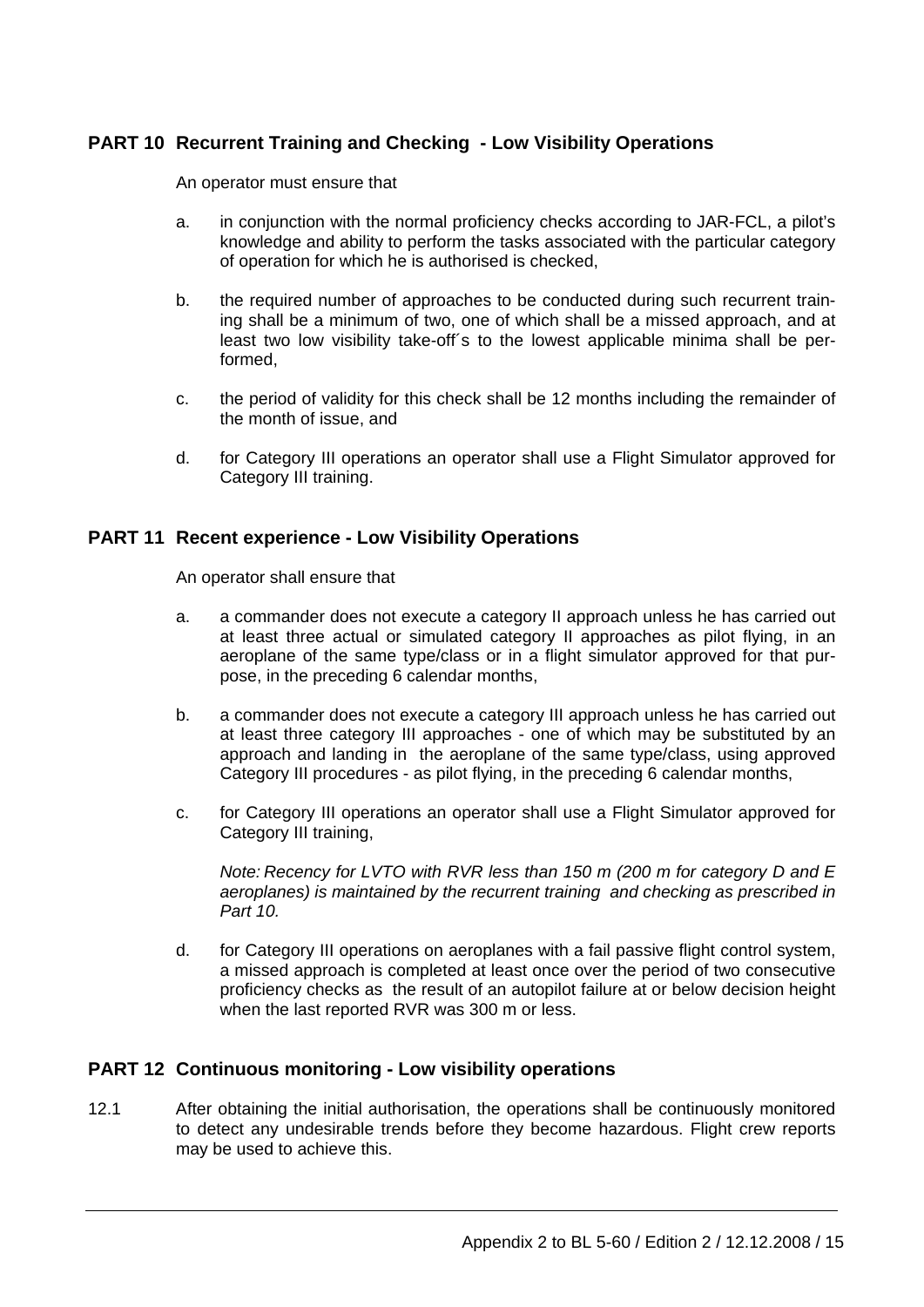# **PART 10 Recurrent Training and Checking - Low Visibility Operations**

An operator must ensure that

- a. in conjunction with the normal proficiency checks according to JAR-FCL, a pilot's knowledge and ability to perform the tasks associated with the particular category of operation for which he is authorised is checked,
- b. the required number of approaches to be conducted during such recurrent training shall be a minimum of two, one of which shall be a missed approach, and at least two low visibility take-off´s to the lowest applicable minima shall be performed,
- c. the period of validity for this check shall be 12 months including the remainder of the month of issue, and
- d. for Category III operations an operator shall use a Flight Simulator approved for Category III training.

# **PART 11 Recent experience - Low Visibility Operations**

An operator shall ensure that

- a. a commander does not execute a category II approach unless he has carried out at least three actual or simulated category II approaches as pilot flying, in an aeroplane of the same type/class or in a flight simulator approved for that purpose, in the preceding 6 calendar months,
- b. a commander does not execute a category III approach unless he has carried out at least three category III approaches - one of which may be substituted by an approach and landing in the aeroplane of the same type/class, using approved Category III procedures - as pilot flying, in the preceding 6 calendar months,
- c. for Category III operations an operator shall use a Flight Simulator approved for Category III training,

 *Note: Recency for LVTO with RVR less than 150 m (200 m for category D and E aeroplanes) is maintained by the recurrent training and checking as prescribed in Part 10.* 

 d. for Category III operations on aeroplanes with a fail passive flight control system, a missed approach is completed at least once over the period of two consecutive proficiency checks as the result of an autopilot failure at or below decision height when the last reported RVR was 300 m or less.

# **PART 12 Continuous monitoring - Low visibility operations**

12.1 After obtaining the initial authorisation, the operations shall be continuously monitored to detect any undesirable trends before they become hazardous. Flight crew reports may be used to achieve this.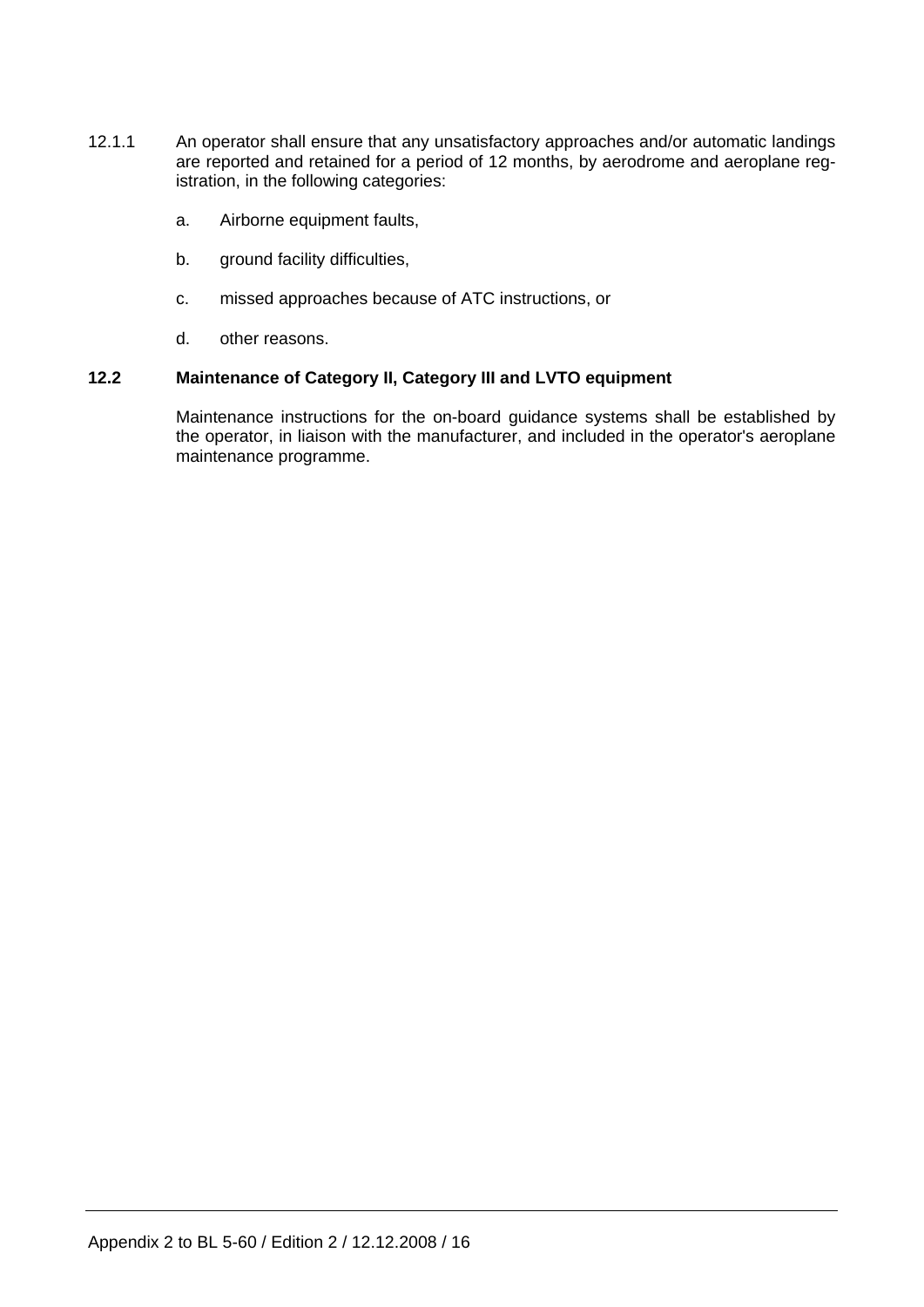- 12.1.1 An operator shall ensure that any unsatisfactory approaches and/or automatic landings are reported and retained for a period of 12 months, by aerodrome and aeroplane registration, in the following categories:
	- a. Airborne equipment faults,
	- b. ground facility difficulties,
	- c. missed approaches because of ATC instructions, or
	- d. other reasons.

## **12.2 Maintenance of Category II, Category III and LVTO equipment**

 Maintenance instructions for the on-board guidance systems shall be established by the operator, in liaison with the manufacturer, and included in the operator's aeroplane maintenance programme.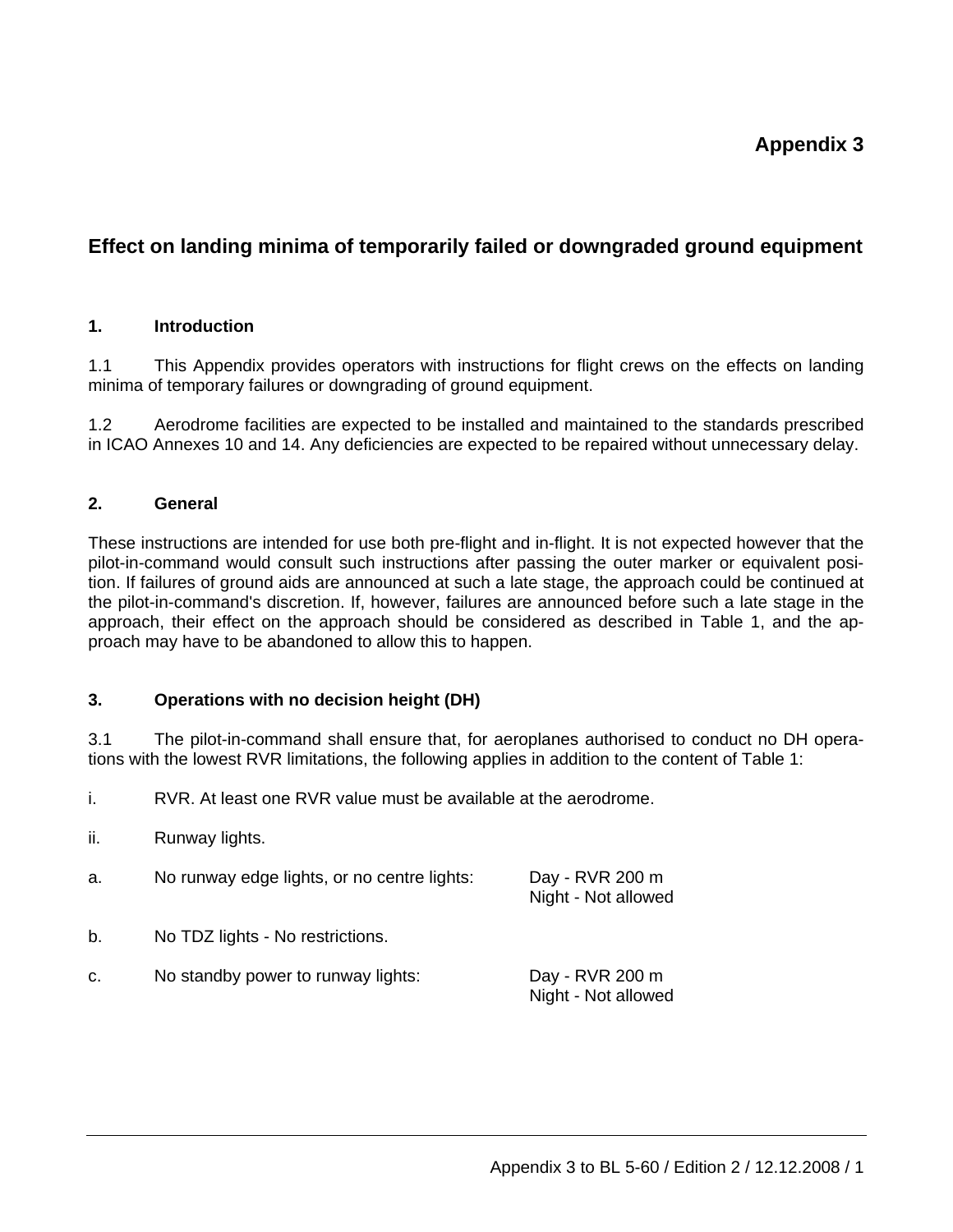# **Effect on landing minima of temporarily failed or downgraded ground equipment**

## **1. Introduction**

1.1 This Appendix provides operators with instructions for flight crews on the effects on landing minima of temporary failures or downgrading of ground equipment.

1.2 Aerodrome facilities are expected to be installed and maintained to the standards prescribed in ICAO Annexes 10 and 14. Any deficiencies are expected to be repaired without unnecessary delay.

# **2. General**

These instructions are intended for use both pre-flight and in-flight. It is not expected however that the pilot-in-command would consult such instructions after passing the outer marker or equivalent position. If failures of ground aids are announced at such a late stage, the approach could be continued at the pilot-in-command's discretion. If, however, failures are announced before such a late stage in the approach, their effect on the approach should be considered as described in Table 1, and the approach may have to be abandoned to allow this to happen.

## **3. Operations with no decision height (DH)**

3.1 The pilot-in-command shall ensure that, for aeroplanes authorised to conduct no DH operations with the lowest RVR limitations, the following applies in addition to the content of Table 1:

i. RVR. At least one RVR value must be available at the aerodrome.

ii. Runway lights.

| a. | No runway edge lights, or no centre lights: | Day - RVR 200 m<br>Night - Not allowed |
|----|---------------------------------------------|----------------------------------------|
| b. | No TDZ lights - No restrictions.            |                                        |
| C. | No standby power to runway lights:          | Day - RVR 200 m<br>Night - Not allowed |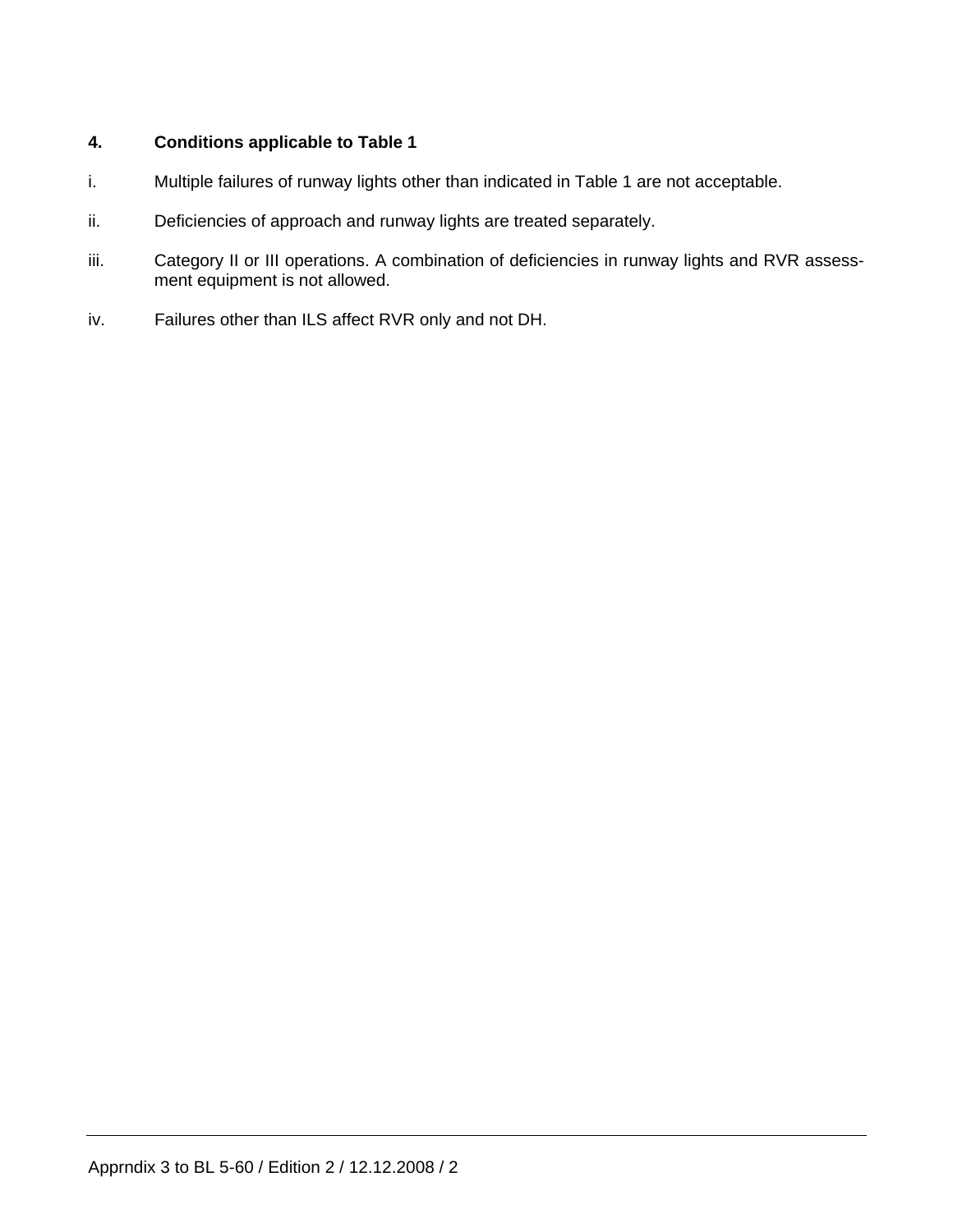# **4. Conditions applicable to Table 1**

- i. Multiple failures of runway lights other than indicated in Table 1 are not acceptable.
- ii. Deficiencies of approach and runway lights are treated separately.
- iii. Category II or III operations. A combination of deficiencies in runway lights and RVR assessment equipment is not allowed.
- iv. Failures other than ILS affect RVR only and not DH.